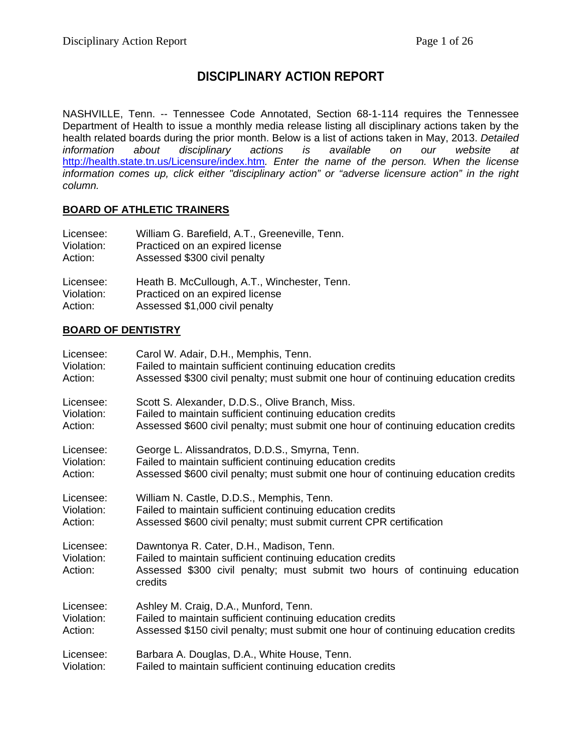# **DISCIPLINARY ACTION REPORT**

NASHVILLE, Tenn. -- Tennessee Code Annotated, Section 68-1-114 requires the Tennessee Department of Health to issue a monthly media release listing all disciplinary actions taken by the health related boards during the prior month. Below is a list of actions taken in May, 2013. *Detailed*  disciplinary actions is available on our website at <http://health.state.tn.us/Licensure/index.htm>*. Enter the name of the person. When the license information comes up, click either "disciplinary action" or "adverse licensure action" in the right column.*

## **BOARD OF ATHLETIC TRAINERS**

| Licensee:  | William G. Barefield, A.T., Greeneville, Tenn. |
|------------|------------------------------------------------|
| Violation: | Practiced on an expired license                |
| Action:    | Assessed \$300 civil penalty                   |
| Licensee:  | Heath B. McCullough, A.T., Winchester, Tenn.   |
| Violation: | Practiced on an expired license                |
| Action:    | Assessed \$1,000 civil penalty                 |

#### **BOARD OF DENTISTRY**

| Licensee:                          | Carol W. Adair, D.H., Memphis, Tenn.                                                                                                                                                             |
|------------------------------------|--------------------------------------------------------------------------------------------------------------------------------------------------------------------------------------------------|
| Violation:                         | Failed to maintain sufficient continuing education credits                                                                                                                                       |
| Action:                            | Assessed \$300 civil penalty; must submit one hour of continuing education credits                                                                                                               |
| Licensee:                          | Scott S. Alexander, D.D.S., Olive Branch, Miss.                                                                                                                                                  |
| Violation:                         | Failed to maintain sufficient continuing education credits                                                                                                                                       |
| Action:                            | Assessed \$600 civil penalty; must submit one hour of continuing education credits                                                                                                               |
| Licensee:                          | George L. Alissandratos, D.D.S., Smyrna, Tenn.                                                                                                                                                   |
| Violation:                         | Failed to maintain sufficient continuing education credits                                                                                                                                       |
| Action:                            | Assessed \$600 civil penalty; must submit one hour of continuing education credits                                                                                                               |
| Licensee:                          | William N. Castle, D.D.S., Memphis, Tenn.                                                                                                                                                        |
| Violation:                         | Failed to maintain sufficient continuing education credits                                                                                                                                       |
| Action:                            | Assessed \$600 civil penalty; must submit current CPR certification                                                                                                                              |
| Licensee:<br>Violation:<br>Action: | Dawntonya R. Cater, D.H., Madison, Tenn.<br>Failed to maintain sufficient continuing education credits<br>Assessed \$300 civil penalty; must submit two hours of continuing education<br>credits |
| Licensee:                          | Ashley M. Craig, D.A., Munford, Tenn.                                                                                                                                                            |
| Violation:                         | Failed to maintain sufficient continuing education credits                                                                                                                                       |
| Action:                            | Assessed \$150 civil penalty; must submit one hour of continuing education credits                                                                                                               |
| Licensee:                          | Barbara A. Douglas, D.A., White House, Tenn.                                                                                                                                                     |
| Violation:                         | Failed to maintain sufficient continuing education credits                                                                                                                                       |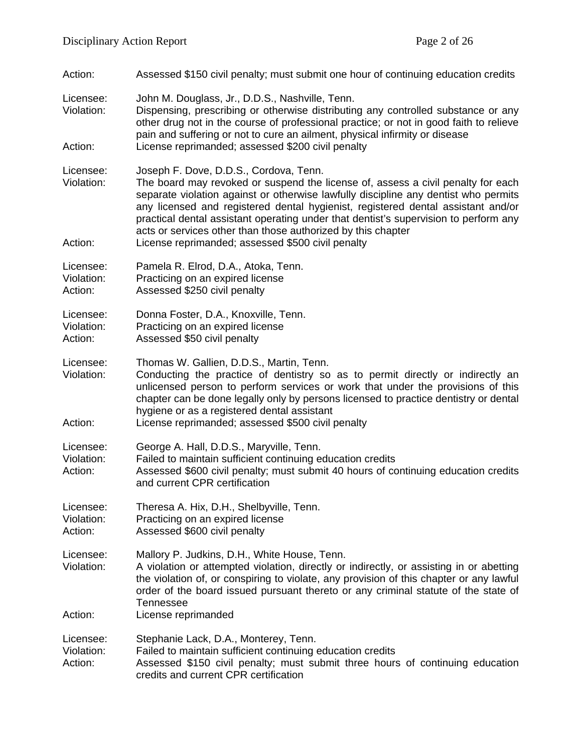Action: Assessed \$150 civil penalty; must submit one hour of continuing education credits

Licensee: John M. Douglass, Jr., D.D.S., Nashville, Tenn.

Violation: Dispensing, prescribing or otherwise distributing any controlled substance or any other drug not in the course of professional practice; or not in good faith to relieve pain and suffering or not to cure an ailment, physical infirmity or disease Action: License reprimanded; assessed \$200 civil penalty

Licensee: Joseph F. Dove, D.D.S., Cordova, Tenn.<br>Violation: The board may revoked or suspend the

- The board may revoked or suspend the license of, assess a civil penalty for each separate violation against or otherwise lawfully discipline any dentist who permits any licensed and registered dental hygienist, registered dental assistant and/or practical dental assistant operating under that dentist's supervision to perform any acts or services other than those authorized by this chapter
- Action: License reprimanded; assessed \$500 civil penalty

Licensee: Pamela R. Elrod, D.A., Atoka, Tenn.<br>Violation: Practicing on an expired license

- Violation: Practicing on an expired license<br>Action: Assessed \$250 civil penalty Assessed \$250 civil penalty
- Licensee: Donna Foster, D.A., Knoxville, Tenn.<br>Violation: Practicing on an expired license Practicing on an expired license
- Action: Assessed \$50 civil penalty
- Licensee: Thomas W. Gallien, D.D.S., Martin, Tenn.
- Violation: Conducting the practice of dentistry so as to permit directly or indirectly an unlicensed person to perform services or work that under the provisions of this chapter can be done legally only by persons licensed to practice dentistry or dental hygiene or as a registered dental assistant
- Action: License reprimanded; assessed \$500 civil penalty
- Licensee: George A. Hall, D.D.S., Maryville, Tenn.
- Violation: Failed to maintain sufficient continuing education credits
- Action: Assessed \$600 civil penalty; must submit 40 hours of continuing education credits and current CPR certification

Licensee: Theresa A. Hix, D.H., Shelbyville, Tenn.

Violation: Practicing on an expired license<br>Action: Assessed \$600 civil penalty Assessed \$600 civil penalty

Licensee: Mallory P. Judkins, D.H., White House, Tenn.

- Violation: A violation or attempted violation, directly or indirectly, or assisting in or abetting the violation of, or conspiring to violate, any provision of this chapter or any lawful order of the board issued pursuant thereto or any criminal statute of the state of Tennessee
- Action: License reprimanded
- Licensee: Stephanie Lack, D.A., Monterey, Tenn.

Violation: Failed to maintain sufficient continuing education credits

Action: Assessed \$150 civil penalty; must submit three hours of continuing education credits and current CPR certification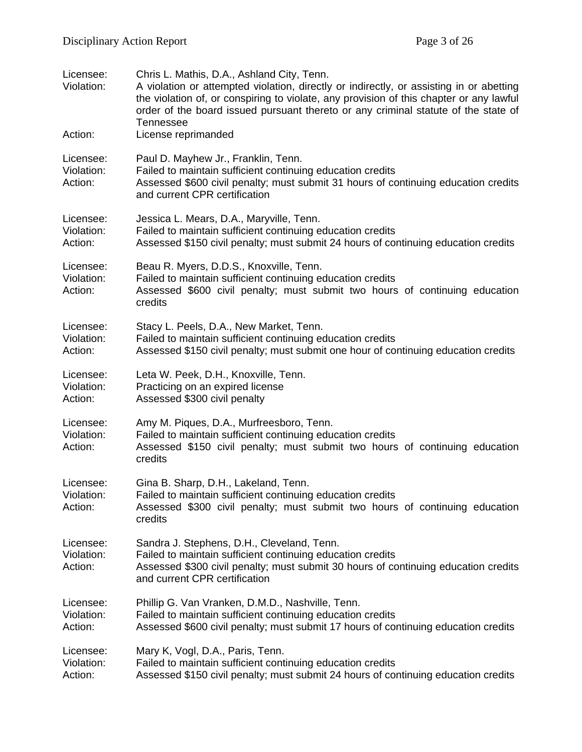| Licensee:<br>Violation:<br>Action: | Chris L. Mathis, D.A., Ashland City, Tenn.<br>A violation or attempted violation, directly or indirectly, or assisting in or abetting<br>the violation of, or conspiring to violate, any provision of this chapter or any lawful<br>order of the board issued pursuant thereto or any criminal statute of the state of<br>Tennessee<br>License reprimanded |
|------------------------------------|------------------------------------------------------------------------------------------------------------------------------------------------------------------------------------------------------------------------------------------------------------------------------------------------------------------------------------------------------------|
| Licensee:<br>Violation:<br>Action: | Paul D. Mayhew Jr., Franklin, Tenn.<br>Failed to maintain sufficient continuing education credits<br>Assessed \$600 civil penalty; must submit 31 hours of continuing education credits<br>and current CPR certification                                                                                                                                   |
| Licensee:<br>Violation:<br>Action: | Jessica L. Mears, D.A., Maryville, Tenn.<br>Failed to maintain sufficient continuing education credits<br>Assessed \$150 civil penalty; must submit 24 hours of continuing education credits                                                                                                                                                               |
| Licensee:<br>Violation:<br>Action: | Beau R. Myers, D.D.S., Knoxville, Tenn.<br>Failed to maintain sufficient continuing education credits<br>Assessed \$600 civil penalty; must submit two hours of continuing education<br>credits                                                                                                                                                            |
| Licensee:<br>Violation:<br>Action: | Stacy L. Peels, D.A., New Market, Tenn.<br>Failed to maintain sufficient continuing education credits<br>Assessed \$150 civil penalty; must submit one hour of continuing education credits                                                                                                                                                                |
| Licensee:<br>Violation:<br>Action: | Leta W. Peek, D.H., Knoxville, Tenn.<br>Practicing on an expired license<br>Assessed \$300 civil penalty                                                                                                                                                                                                                                                   |
| Licensee:<br>Violation:<br>Action: | Amy M. Piques, D.A., Murfreesboro, Tenn.<br>Failed to maintain sufficient continuing education credits<br>Assessed \$150 civil penalty; must submit two hours of continuing education<br>credits                                                                                                                                                           |
| Licensee:<br>Violation:<br>Action: | Gina B. Sharp, D.H., Lakeland, Tenn.<br>Failed to maintain sufficient continuing education credits<br>Assessed \$300 civil penalty; must submit two hours of continuing education<br>credits                                                                                                                                                               |
| Licensee:<br>Violation:<br>Action: | Sandra J. Stephens, D.H., Cleveland, Tenn.<br>Failed to maintain sufficient continuing education credits<br>Assessed \$300 civil penalty; must submit 30 hours of continuing education credits<br>and current CPR certification                                                                                                                            |
| Licensee:<br>Violation:<br>Action: | Phillip G. Van Vranken, D.M.D., Nashville, Tenn.<br>Failed to maintain sufficient continuing education credits<br>Assessed \$600 civil penalty; must submit 17 hours of continuing education credits                                                                                                                                                       |
| Licensee:<br>Violation:<br>Action: | Mary K, Vogl, D.A., Paris, Tenn.<br>Failed to maintain sufficient continuing education credits<br>Assessed \$150 civil penalty; must submit 24 hours of continuing education credits                                                                                                                                                                       |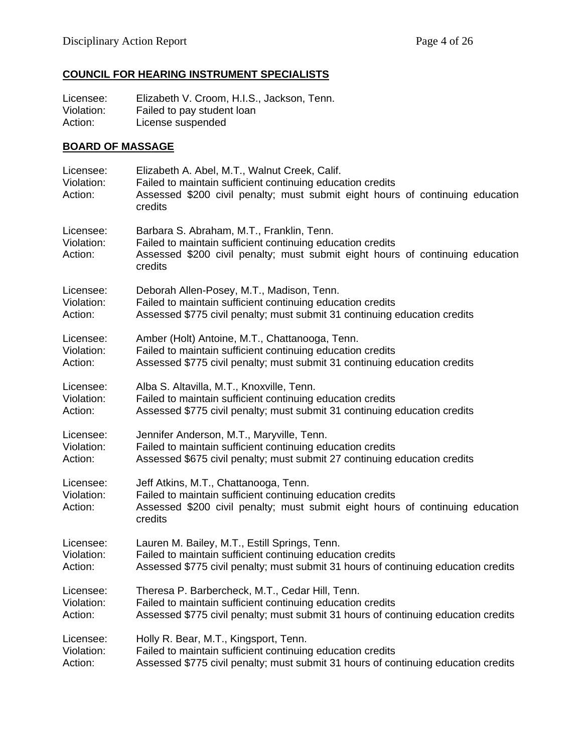# **COUNCIL FOR HEARING INSTRUMENT SPECIALISTS**

Licensee: Elizabeth V. Croom, H.I.S., Jackson, Tenn.<br>Violation: Failed to pay student loan Violation: Failed to pay student loan<br>Action: License suspended License suspended

## **BOARD OF MASSAGE**

| Licensee:<br>Violation:<br>Action: | Elizabeth A. Abel, M.T., Walnut Creek, Calif.<br>Failed to maintain sufficient continuing education credits<br>Assessed \$200 civil penalty; must submit eight hours of continuing education<br>credits |
|------------------------------------|---------------------------------------------------------------------------------------------------------------------------------------------------------------------------------------------------------|
| Licensee:<br>Violation:<br>Action: | Barbara S. Abraham, M.T., Franklin, Tenn.<br>Failed to maintain sufficient continuing education credits<br>Assessed \$200 civil penalty; must submit eight hours of continuing education<br>credits     |
| Licensee:                          | Deborah Allen-Posey, M.T., Madison, Tenn.                                                                                                                                                               |
| Violation:                         | Failed to maintain sufficient continuing education credits                                                                                                                                              |
| Action:                            | Assessed \$775 civil penalty; must submit 31 continuing education credits                                                                                                                               |
| Licensee:                          | Amber (Holt) Antoine, M.T., Chattanooga, Tenn.                                                                                                                                                          |
| Violation:                         | Failed to maintain sufficient continuing education credits                                                                                                                                              |
| Action:                            | Assessed \$775 civil penalty; must submit 31 continuing education credits                                                                                                                               |
| Licensee:                          | Alba S. Altavilla, M.T., Knoxville, Tenn.                                                                                                                                                               |
| Violation:                         | Failed to maintain sufficient continuing education credits                                                                                                                                              |
| Action:                            | Assessed \$775 civil penalty; must submit 31 continuing education credits                                                                                                                               |
| Licensee:                          | Jennifer Anderson, M.T., Maryville, Tenn.                                                                                                                                                               |
| Violation:                         | Failed to maintain sufficient continuing education credits                                                                                                                                              |
| Action:                            | Assessed \$675 civil penalty; must submit 27 continuing education credits                                                                                                                               |
| Licensee:<br>Violation:<br>Action: | Jeff Atkins, M.T., Chattanooga, Tenn.<br>Failed to maintain sufficient continuing education credits<br>Assessed \$200 civil penalty; must submit eight hours of continuing education<br>credits         |
| Licensee:                          | Lauren M. Bailey, M.T., Estill Springs, Tenn.                                                                                                                                                           |
| Violation:                         | Failed to maintain sufficient continuing education credits                                                                                                                                              |
| Action:                            | Assessed \$775 civil penalty; must submit 31 hours of continuing education credits                                                                                                                      |
| Licensee:                          | Theresa P. Barbercheck, M.T., Cedar Hill, Tenn.                                                                                                                                                         |
| Violation:                         | Failed to maintain sufficient continuing education credits                                                                                                                                              |
| Action:                            | Assessed \$775 civil penalty; must submit 31 hours of continuing education credits                                                                                                                      |
| Licensee:                          | Holly R. Bear, M.T., Kingsport, Tenn.                                                                                                                                                                   |
| Violation:                         | Failed to maintain sufficient continuing education credits                                                                                                                                              |
| Action:                            | Assessed \$775 civil penalty; must submit 31 hours of continuing education credits                                                                                                                      |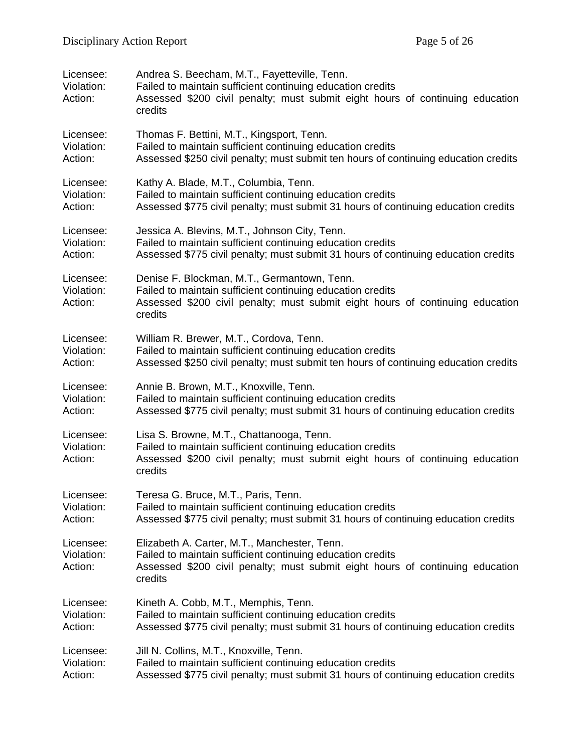| Licensee:<br>Violation:<br>Action: | Andrea S. Beecham, M.T., Fayetteville, Tenn.<br>Failed to maintain sufficient continuing education credits<br>Assessed \$200 civil penalty; must submit eight hours of continuing education<br>credits |
|------------------------------------|--------------------------------------------------------------------------------------------------------------------------------------------------------------------------------------------------------|
| Licensee:                          | Thomas F. Bettini, M.T., Kingsport, Tenn.                                                                                                                                                              |
| Violation:                         | Failed to maintain sufficient continuing education credits                                                                                                                                             |
| Action:                            | Assessed \$250 civil penalty; must submit ten hours of continuing education credits                                                                                                                    |
| Licensee:                          | Kathy A. Blade, M.T., Columbia, Tenn.                                                                                                                                                                  |
| Violation:                         | Failed to maintain sufficient continuing education credits                                                                                                                                             |
| Action:                            | Assessed \$775 civil penalty; must submit 31 hours of continuing education credits                                                                                                                     |
| Licensee:                          | Jessica A. Blevins, M.T., Johnson City, Tenn.                                                                                                                                                          |
| Violation:                         | Failed to maintain sufficient continuing education credits                                                                                                                                             |
| Action:                            | Assessed \$775 civil penalty; must submit 31 hours of continuing education credits                                                                                                                     |
| Licensee:<br>Violation:<br>Action: | Denise F. Blockman, M.T., Germantown, Tenn.<br>Failed to maintain sufficient continuing education credits<br>Assessed \$200 civil penalty; must submit eight hours of continuing education<br>credits  |
| Licensee:                          | William R. Brewer, M.T., Cordova, Tenn.                                                                                                                                                                |
| Violation:                         | Failed to maintain sufficient continuing education credits                                                                                                                                             |
| Action:                            | Assessed \$250 civil penalty; must submit ten hours of continuing education credits                                                                                                                    |
| Licensee:                          | Annie B. Brown, M.T., Knoxville, Tenn.                                                                                                                                                                 |
| Violation:                         | Failed to maintain sufficient continuing education credits                                                                                                                                             |
| Action:                            | Assessed \$775 civil penalty; must submit 31 hours of continuing education credits                                                                                                                     |
| Licensee:<br>Violation:<br>Action: | Lisa S. Browne, M.T., Chattanooga, Tenn.<br>Failed to maintain sufficient continuing education credits<br>Assessed \$200 civil penalty; must submit eight hours of continuing education<br>credits     |
| Licensee:                          | Teresa G. Bruce, M.T., Paris, Tenn.                                                                                                                                                                    |
| Violation:                         | Failed to maintain sufficient continuing education credits                                                                                                                                             |
| Action:                            | Assessed \$775 civil penalty; must submit 31 hours of continuing education credits                                                                                                                     |
| Licensee:<br>Violation:<br>Action: | Elizabeth A. Carter, M.T., Manchester, Tenn.<br>Failed to maintain sufficient continuing education credits<br>Assessed \$200 civil penalty; must submit eight hours of continuing education<br>credits |
| Licensee:                          | Kineth A. Cobb, M.T., Memphis, Tenn.                                                                                                                                                                   |
| Violation:                         | Failed to maintain sufficient continuing education credits                                                                                                                                             |
| Action:                            | Assessed \$775 civil penalty; must submit 31 hours of continuing education credits                                                                                                                     |
| Licensee:                          | Jill N. Collins, M.T., Knoxville, Tenn.                                                                                                                                                                |
| Violation:                         | Failed to maintain sufficient continuing education credits                                                                                                                                             |
| Action:                            | Assessed \$775 civil penalty; must submit 31 hours of continuing education credits                                                                                                                     |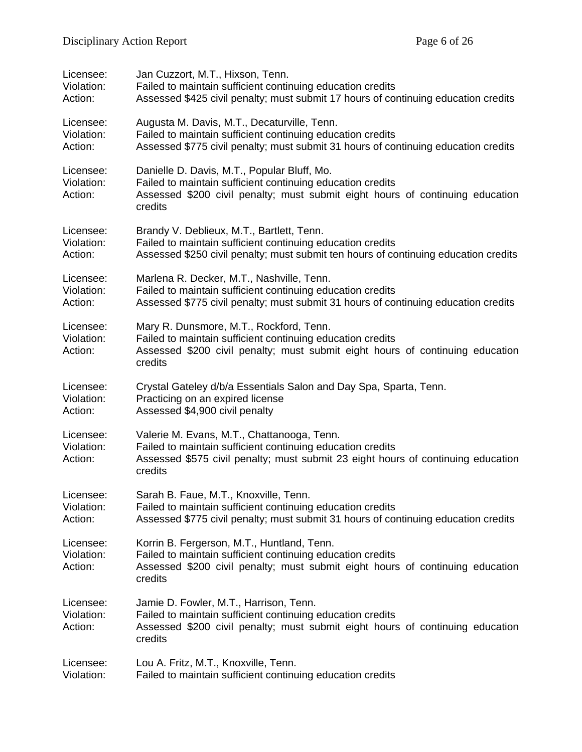| Licensee:                          | Jan Cuzzort, M.T., Hixson, Tenn.                                                                                                                                                                        |
|------------------------------------|---------------------------------------------------------------------------------------------------------------------------------------------------------------------------------------------------------|
| Violation:                         | Failed to maintain sufficient continuing education credits                                                                                                                                              |
| Action:                            | Assessed \$425 civil penalty; must submit 17 hours of continuing education credits                                                                                                                      |
| Licensee:                          | Augusta M. Davis, M.T., Decaturville, Tenn.                                                                                                                                                             |
| Violation:                         | Failed to maintain sufficient continuing education credits                                                                                                                                              |
| Action:                            | Assessed \$775 civil penalty; must submit 31 hours of continuing education credits                                                                                                                      |
| Licensee:<br>Violation:<br>Action: | Danielle D. Davis, M.T., Popular Bluff, Mo.<br>Failed to maintain sufficient continuing education credits<br>Assessed \$200 civil penalty; must submit eight hours of continuing education<br>credits   |
| Licensee:                          | Brandy V. Deblieux, M.T., Bartlett, Tenn.                                                                                                                                                               |
| Violation:                         | Failed to maintain sufficient continuing education credits                                                                                                                                              |
| Action:                            | Assessed \$250 civil penalty; must submit ten hours of continuing education credits                                                                                                                     |
| Licensee:                          | Marlena R. Decker, M.T., Nashville, Tenn.                                                                                                                                                               |
| Violation:                         | Failed to maintain sufficient continuing education credits                                                                                                                                              |
| Action:                            | Assessed \$775 civil penalty; must submit 31 hours of continuing education credits                                                                                                                      |
| Licensee:<br>Violation:<br>Action: | Mary R. Dunsmore, M.T., Rockford, Tenn.<br>Failed to maintain sufficient continuing education credits<br>Assessed \$200 civil penalty; must submit eight hours of continuing education<br>credits       |
| Licensee:                          | Crystal Gateley d/b/a Essentials Salon and Day Spa, Sparta, Tenn.                                                                                                                                       |
| Violation:                         | Practicing on an expired license                                                                                                                                                                        |
| Action:                            | Assessed \$4,900 civil penalty                                                                                                                                                                          |
| Licensee:<br>Violation:<br>Action: | Valerie M. Evans, M.T., Chattanooga, Tenn.<br>Failed to maintain sufficient continuing education credits<br>Assessed \$575 civil penalty; must submit 23 eight hours of continuing education<br>credits |
| Licensee:                          | Sarah B. Faue, M.T., Knoxville, Tenn.                                                                                                                                                                   |
| Violation:                         | Failed to maintain sufficient continuing education credits                                                                                                                                              |
| Action:                            | Assessed \$775 civil penalty; must submit 31 hours of continuing education credits                                                                                                                      |
| Licensee:<br>Violation:<br>Action: | Korrin B. Fergerson, M.T., Huntland, Tenn.<br>Failed to maintain sufficient continuing education credits<br>Assessed \$200 civil penalty; must submit eight hours of continuing education<br>credits    |
| Licensee:<br>Violation:<br>Action: | Jamie D. Fowler, M.T., Harrison, Tenn.<br>Failed to maintain sufficient continuing education credits<br>Assessed \$200 civil penalty; must submit eight hours of continuing education<br>credits        |
| Licensee:                          | Lou A. Fritz, M.T., Knoxville, Tenn.                                                                                                                                                                    |
| Violation:                         | Failed to maintain sufficient continuing education credits                                                                                                                                              |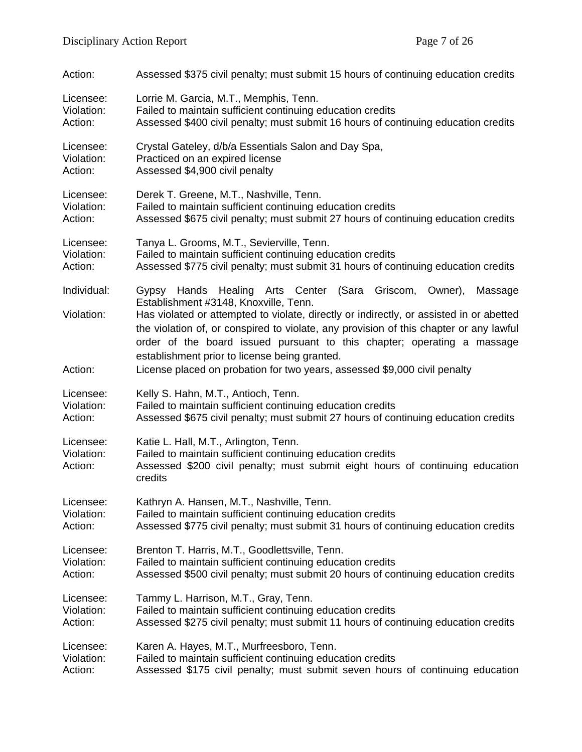| Action:                            | Assessed \$375 civil penalty; must submit 15 hours of continuing education credits                                                                                                                                                                                                                                                                                                                                                  |
|------------------------------------|-------------------------------------------------------------------------------------------------------------------------------------------------------------------------------------------------------------------------------------------------------------------------------------------------------------------------------------------------------------------------------------------------------------------------------------|
| Licensee:                          | Lorrie M. Garcia, M.T., Memphis, Tenn.                                                                                                                                                                                                                                                                                                                                                                                              |
| Violation:                         | Failed to maintain sufficient continuing education credits                                                                                                                                                                                                                                                                                                                                                                          |
| Action:                            | Assessed \$400 civil penalty; must submit 16 hours of continuing education credits                                                                                                                                                                                                                                                                                                                                                  |
| Licensee:                          | Crystal Gateley, d/b/a Essentials Salon and Day Spa,                                                                                                                                                                                                                                                                                                                                                                                |
| Violation:                         | Practiced on an expired license                                                                                                                                                                                                                                                                                                                                                                                                     |
| Action:                            | Assessed \$4,900 civil penalty                                                                                                                                                                                                                                                                                                                                                                                                      |
| Licensee:                          | Derek T. Greene, M.T., Nashville, Tenn.                                                                                                                                                                                                                                                                                                                                                                                             |
| Violation:                         | Failed to maintain sufficient continuing education credits                                                                                                                                                                                                                                                                                                                                                                          |
| Action:                            | Assessed \$675 civil penalty; must submit 27 hours of continuing education credits                                                                                                                                                                                                                                                                                                                                                  |
| Licensee:                          | Tanya L. Grooms, M.T., Sevierville, Tenn.                                                                                                                                                                                                                                                                                                                                                                                           |
| Violation:                         | Failed to maintain sufficient continuing education credits                                                                                                                                                                                                                                                                                                                                                                          |
| Action:                            | Assessed \$775 civil penalty; must submit 31 hours of continuing education credits                                                                                                                                                                                                                                                                                                                                                  |
| Individual:                        | Gypsy Hands Healing Arts Center (Sara<br>Griscom, Owner),<br>Massage                                                                                                                                                                                                                                                                                                                                                                |
| Violation:<br>Action:              | Establishment #3148, Knoxville, Tenn.<br>Has violated or attempted to violate, directly or indirectly, or assisted in or abetted<br>the violation of, or conspired to violate, any provision of this chapter or any lawful<br>order of the board issued pursuant to this chapter; operating a massage<br>establishment prior to license being granted.<br>License placed on probation for two years, assessed \$9,000 civil penalty |
|                                    |                                                                                                                                                                                                                                                                                                                                                                                                                                     |
| Licensee:                          | Kelly S. Hahn, M.T., Antioch, Tenn.                                                                                                                                                                                                                                                                                                                                                                                                 |
| Violation:                         | Failed to maintain sufficient continuing education credits                                                                                                                                                                                                                                                                                                                                                                          |
| Action:                            | Assessed \$675 civil penalty; must submit 27 hours of continuing education credits                                                                                                                                                                                                                                                                                                                                                  |
| Licensee:<br>Violation:<br>Action: | Katie L. Hall, M.T., Arlington, Tenn.<br>Failed to maintain sufficient continuing education credits<br>Assessed \$200 civil penalty; must submit eight hours of continuing education<br>credits                                                                                                                                                                                                                                     |
| Licensee:                          | Kathryn A. Hansen, M.T., Nashville, Tenn.                                                                                                                                                                                                                                                                                                                                                                                           |
| Violation:                         | Failed to maintain sufficient continuing education credits                                                                                                                                                                                                                                                                                                                                                                          |
| Action:                            | Assessed \$775 civil penalty; must submit 31 hours of continuing education credits                                                                                                                                                                                                                                                                                                                                                  |
| Licensee:                          | Brenton T. Harris, M.T., Goodlettsville, Tenn.                                                                                                                                                                                                                                                                                                                                                                                      |
| Violation:                         | Failed to maintain sufficient continuing education credits                                                                                                                                                                                                                                                                                                                                                                          |
| Action:                            | Assessed \$500 civil penalty; must submit 20 hours of continuing education credits                                                                                                                                                                                                                                                                                                                                                  |
| Licensee:                          | Tammy L. Harrison, M.T., Gray, Tenn.                                                                                                                                                                                                                                                                                                                                                                                                |
| Violation:                         | Failed to maintain sufficient continuing education credits                                                                                                                                                                                                                                                                                                                                                                          |
| Action:                            | Assessed \$275 civil penalty; must submit 11 hours of continuing education credits                                                                                                                                                                                                                                                                                                                                                  |
| Licensee:                          | Karen A. Hayes, M.T., Murfreesboro, Tenn.                                                                                                                                                                                                                                                                                                                                                                                           |
| Violation:                         | Failed to maintain sufficient continuing education credits                                                                                                                                                                                                                                                                                                                                                                          |
| Action:                            | Assessed \$175 civil penalty; must submit seven hours of continuing education                                                                                                                                                                                                                                                                                                                                                       |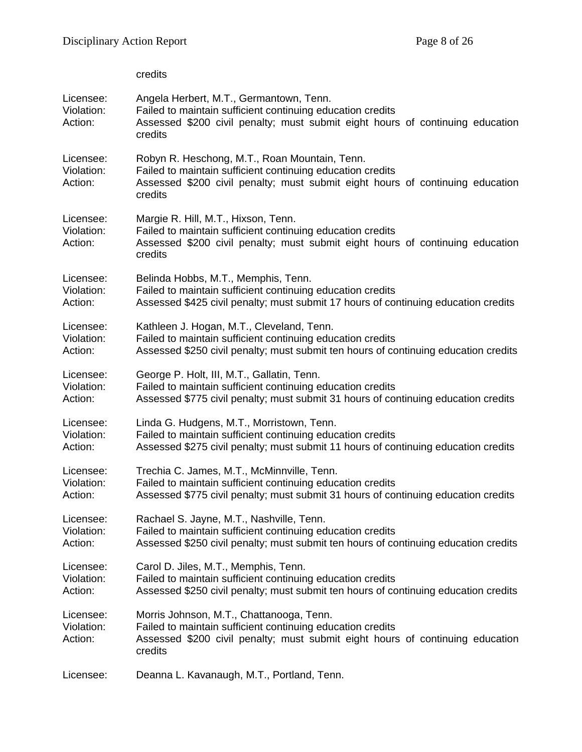|                                    | credits                                                                                                                                                                                                 |
|------------------------------------|---------------------------------------------------------------------------------------------------------------------------------------------------------------------------------------------------------|
| Licensee:<br>Violation:<br>Action: | Angela Herbert, M.T., Germantown, Tenn.<br>Failed to maintain sufficient continuing education credits<br>Assessed \$200 civil penalty; must submit eight hours of continuing education<br>credits       |
| Licensee:<br>Violation:<br>Action: | Robyn R. Heschong, M.T., Roan Mountain, Tenn.<br>Failed to maintain sufficient continuing education credits<br>Assessed \$200 civil penalty; must submit eight hours of continuing education<br>credits |
| Licensee:<br>Violation:<br>Action: | Margie R. Hill, M.T., Hixson, Tenn.<br>Failed to maintain sufficient continuing education credits<br>Assessed \$200 civil penalty; must submit eight hours of continuing education<br>credits           |
| Licensee:                          | Belinda Hobbs, M.T., Memphis, Tenn.                                                                                                                                                                     |
| Violation:                         | Failed to maintain sufficient continuing education credits                                                                                                                                              |
| Action:                            | Assessed \$425 civil penalty; must submit 17 hours of continuing education credits                                                                                                                      |
| Licensee:                          | Kathleen J. Hogan, M.T., Cleveland, Tenn.                                                                                                                                                               |
| Violation:                         | Failed to maintain sufficient continuing education credits                                                                                                                                              |
| Action:                            | Assessed \$250 civil penalty; must submit ten hours of continuing education credits                                                                                                                     |
| Licensee:                          | George P. Holt, III, M.T., Gallatin, Tenn.                                                                                                                                                              |
| Violation:                         | Failed to maintain sufficient continuing education credits                                                                                                                                              |
| Action:                            | Assessed \$775 civil penalty; must submit 31 hours of continuing education credits                                                                                                                      |
| Licensee:                          | Linda G. Hudgens, M.T., Morristown, Tenn.                                                                                                                                                               |
| Violation:                         | Failed to maintain sufficient continuing education credits                                                                                                                                              |
| Action:                            | Assessed \$275 civil penalty; must submit 11 hours of continuing education credits                                                                                                                      |
| Licensee:                          | Trechia C. James, M.T., McMinnville, Tenn.                                                                                                                                                              |
| Violation:                         | Failed to maintain sufficient continuing education credits                                                                                                                                              |
| Action:                            | Assessed \$775 civil penalty; must submit 31 hours of continuing education credits                                                                                                                      |
| Licensee:                          | Rachael S. Jayne, M.T., Nashville, Tenn.                                                                                                                                                                |
| Violation:                         | Failed to maintain sufficient continuing education credits                                                                                                                                              |
| Action:                            | Assessed \$250 civil penalty; must submit ten hours of continuing education credits                                                                                                                     |
| Licensee:                          | Carol D. Jiles, M.T., Memphis, Tenn.                                                                                                                                                                    |
| Violation:                         | Failed to maintain sufficient continuing education credits                                                                                                                                              |
| Action:                            | Assessed \$250 civil penalty; must submit ten hours of continuing education credits                                                                                                                     |
| Licensee:<br>Violation:<br>Action: | Morris Johnson, M.T., Chattanooga, Tenn.<br>Failed to maintain sufficient continuing education credits<br>Assessed \$200 civil penalty; must submit eight hours of continuing education<br>credits      |
| Licensee:                          | Deanna L. Kavanaugh, M.T., Portland, Tenn.                                                                                                                                                              |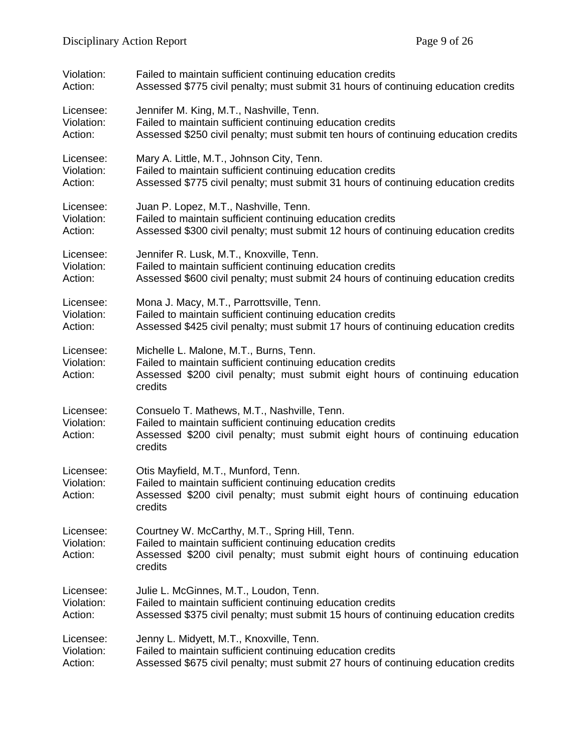| Violation:                         | Failed to maintain sufficient continuing education credits                                                                                                                                               |
|------------------------------------|----------------------------------------------------------------------------------------------------------------------------------------------------------------------------------------------------------|
| Action:                            | Assessed \$775 civil penalty; must submit 31 hours of continuing education credits                                                                                                                       |
| Licensee:                          | Jennifer M. King, M.T., Nashville, Tenn.                                                                                                                                                                 |
| Violation:                         | Failed to maintain sufficient continuing education credits                                                                                                                                               |
| Action:                            | Assessed \$250 civil penalty; must submit ten hours of continuing education credits                                                                                                                      |
| Licensee:                          | Mary A. Little, M.T., Johnson City, Tenn.                                                                                                                                                                |
| Violation:                         | Failed to maintain sufficient continuing education credits                                                                                                                                               |
| Action:                            | Assessed \$775 civil penalty; must submit 31 hours of continuing education credits                                                                                                                       |
| Licensee:                          | Juan P. Lopez, M.T., Nashville, Tenn.                                                                                                                                                                    |
| Violation:                         | Failed to maintain sufficient continuing education credits                                                                                                                                               |
| Action:                            | Assessed \$300 civil penalty; must submit 12 hours of continuing education credits                                                                                                                       |
| Licensee:                          | Jennifer R. Lusk, M.T., Knoxville, Tenn.                                                                                                                                                                 |
| Violation:                         | Failed to maintain sufficient continuing education credits                                                                                                                                               |
| Action:                            | Assessed \$600 civil penalty; must submit 24 hours of continuing education credits                                                                                                                       |
| Licensee:                          | Mona J. Macy, M.T., Parrottsville, Tenn.                                                                                                                                                                 |
| Violation:                         | Failed to maintain sufficient continuing education credits                                                                                                                                               |
| Action:                            | Assessed \$425 civil penalty; must submit 17 hours of continuing education credits                                                                                                                       |
| Licensee:<br>Violation:<br>Action: | Michelle L. Malone, M.T., Burns, Tenn.<br>Failed to maintain sufficient continuing education credits<br>Assessed \$200 civil penalty; must submit eight hours of continuing education<br>credits         |
| Licensee:<br>Violation:<br>Action: | Consuelo T. Mathews, M.T., Nashville, Tenn.<br>Failed to maintain sufficient continuing education credits<br>Assessed \$200 civil penalty; must submit eight hours of continuing education<br>credits    |
| Licensee:<br>Violation:<br>Action: | Otis Mayfield, M.T., Munford, Tenn.<br>Failed to maintain sufficient continuing education credits<br>Assessed \$200 civil penalty; must submit eight hours of continuing education<br>credits            |
| Licensee:<br>Violation:<br>Action: | Courtney W. McCarthy, M.T., Spring Hill, Tenn.<br>Failed to maintain sufficient continuing education credits<br>Assessed \$200 civil penalty; must submit eight hours of continuing education<br>credits |
| Licensee:                          | Julie L. McGinnes, M.T., Loudon, Tenn.                                                                                                                                                                   |
| Violation:                         | Failed to maintain sufficient continuing education credits                                                                                                                                               |
| Action:                            | Assessed \$375 civil penalty; must submit 15 hours of continuing education credits                                                                                                                       |
| Licensee:                          | Jenny L. Midyett, M.T., Knoxville, Tenn.                                                                                                                                                                 |
| Violation:                         | Failed to maintain sufficient continuing education credits                                                                                                                                               |
| Action:                            | Assessed \$675 civil penalty; must submit 27 hours of continuing education credits                                                                                                                       |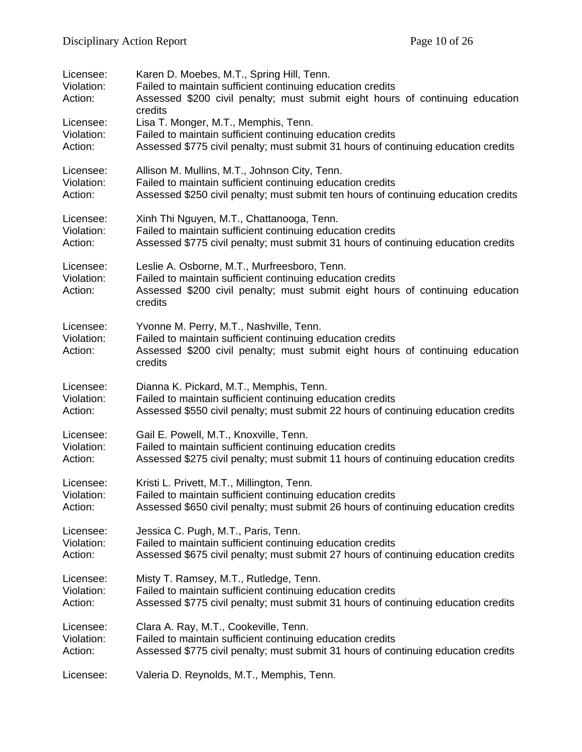| Licensee:<br>Violation:<br>Action:<br>Licensee:<br>Violation:<br>Action: | Karen D. Moebes, M.T., Spring Hill, Tenn.<br>Failed to maintain sufficient continuing education credits<br>Assessed \$200 civil penalty; must submit eight hours of continuing education<br>credits<br>Lisa T. Monger, M.T., Memphis, Tenn.<br>Failed to maintain sufficient continuing education credits<br>Assessed \$775 civil penalty; must submit 31 hours of continuing education credits |
|--------------------------------------------------------------------------|-------------------------------------------------------------------------------------------------------------------------------------------------------------------------------------------------------------------------------------------------------------------------------------------------------------------------------------------------------------------------------------------------|
| Licensee:                                                                | Allison M. Mullins, M.T., Johnson City, Tenn.                                                                                                                                                                                                                                                                                                                                                   |
| Violation:                                                               | Failed to maintain sufficient continuing education credits                                                                                                                                                                                                                                                                                                                                      |
| Action:                                                                  | Assessed \$250 civil penalty; must submit ten hours of continuing education credits                                                                                                                                                                                                                                                                                                             |
| Licensee:                                                                | Xinh Thi Nguyen, M.T., Chattanooga, Tenn.                                                                                                                                                                                                                                                                                                                                                       |
| Violation:                                                               | Failed to maintain sufficient continuing education credits                                                                                                                                                                                                                                                                                                                                      |
| Action:                                                                  | Assessed \$775 civil penalty; must submit 31 hours of continuing education credits                                                                                                                                                                                                                                                                                                              |
| Licensee:<br>Violation:<br>Action:                                       | Leslie A. Osborne, M.T., Murfreesboro, Tenn.<br>Failed to maintain sufficient continuing education credits<br>Assessed \$200 civil penalty; must submit eight hours of continuing education<br>credits                                                                                                                                                                                          |
| Licensee:<br>Violation:<br>Action:                                       | Yvonne M. Perry, M.T., Nashville, Tenn.<br>Failed to maintain sufficient continuing education credits<br>Assessed \$200 civil penalty; must submit eight hours of continuing education<br>credits                                                                                                                                                                                               |
| Licensee:                                                                | Dianna K. Pickard, M.T., Memphis, Tenn.                                                                                                                                                                                                                                                                                                                                                         |
| Violation:                                                               | Failed to maintain sufficient continuing education credits                                                                                                                                                                                                                                                                                                                                      |
| Action:                                                                  | Assessed \$550 civil penalty; must submit 22 hours of continuing education credits                                                                                                                                                                                                                                                                                                              |
| Licensee:                                                                | Gail E. Powell, M.T., Knoxville, Tenn.                                                                                                                                                                                                                                                                                                                                                          |
| Violation:                                                               | Failed to maintain sufficient continuing education credits                                                                                                                                                                                                                                                                                                                                      |
| Action:                                                                  | Assessed \$275 civil penalty; must submit 11 hours of continuing education credits                                                                                                                                                                                                                                                                                                              |
| Licensee:                                                                | Kristi L. Privett, M.T., Millington, Tenn.                                                                                                                                                                                                                                                                                                                                                      |
| Violation:                                                               | Failed to maintain sufficient continuing education credits                                                                                                                                                                                                                                                                                                                                      |
| Action:                                                                  | Assessed \$650 civil penalty; must submit 26 hours of continuing education credits                                                                                                                                                                                                                                                                                                              |
| Licensee:                                                                | Jessica C. Pugh, M.T., Paris, Tenn.                                                                                                                                                                                                                                                                                                                                                             |
| Violation:                                                               | Failed to maintain sufficient continuing education credits                                                                                                                                                                                                                                                                                                                                      |
| Action:                                                                  | Assessed \$675 civil penalty; must submit 27 hours of continuing education credits                                                                                                                                                                                                                                                                                                              |
| Licensee:                                                                | Misty T. Ramsey, M.T., Rutledge, Tenn.                                                                                                                                                                                                                                                                                                                                                          |
| Violation:                                                               | Failed to maintain sufficient continuing education credits                                                                                                                                                                                                                                                                                                                                      |
| Action:                                                                  | Assessed \$775 civil penalty; must submit 31 hours of continuing education credits                                                                                                                                                                                                                                                                                                              |
| Licensee:                                                                | Clara A. Ray, M.T., Cookeville, Tenn.                                                                                                                                                                                                                                                                                                                                                           |
| Violation:                                                               | Failed to maintain sufficient continuing education credits                                                                                                                                                                                                                                                                                                                                      |
| Action:                                                                  | Assessed \$775 civil penalty; must submit 31 hours of continuing education credits                                                                                                                                                                                                                                                                                                              |
| Licensee:                                                                | Valeria D. Reynolds, M.T., Memphis, Tenn.                                                                                                                                                                                                                                                                                                                                                       |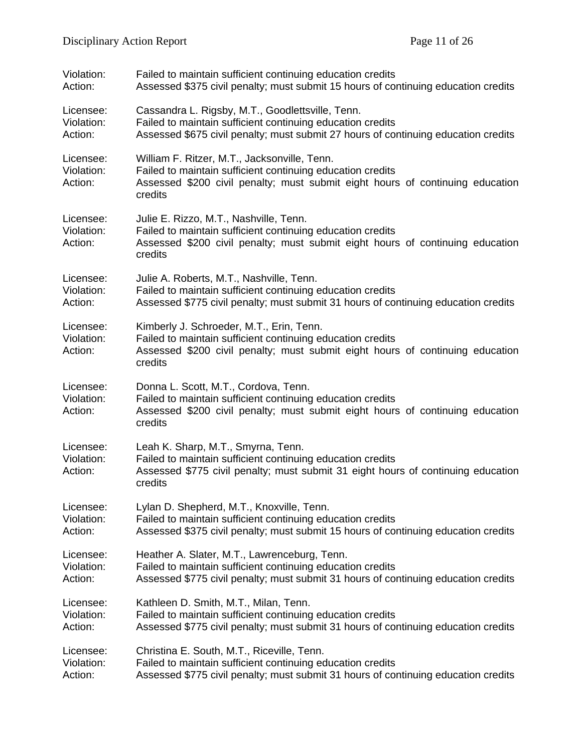| Violation:                         | Failed to maintain sufficient continuing education credits                                                                                                                                             |
|------------------------------------|--------------------------------------------------------------------------------------------------------------------------------------------------------------------------------------------------------|
| Action:                            | Assessed \$375 civil penalty; must submit 15 hours of continuing education credits                                                                                                                     |
| Licensee:                          | Cassandra L. Rigsby, M.T., Goodlettsville, Tenn.                                                                                                                                                       |
| Violation:                         | Failed to maintain sufficient continuing education credits                                                                                                                                             |
| Action:                            | Assessed \$675 civil penalty; must submit 27 hours of continuing education credits                                                                                                                     |
| Licensee:<br>Violation:<br>Action: | William F. Ritzer, M.T., Jacksonville, Tenn.<br>Failed to maintain sufficient continuing education credits<br>Assessed \$200 civil penalty; must submit eight hours of continuing education<br>credits |
| Licensee:<br>Violation:<br>Action: | Julie E. Rizzo, M.T., Nashville, Tenn.<br>Failed to maintain sufficient continuing education credits<br>Assessed \$200 civil penalty; must submit eight hours of continuing education<br>credits       |
| Licensee:                          | Julie A. Roberts, M.T., Nashville, Tenn.                                                                                                                                                               |
| Violation:                         | Failed to maintain sufficient continuing education credits                                                                                                                                             |
| Action:                            | Assessed \$775 civil penalty; must submit 31 hours of continuing education credits                                                                                                                     |
| Licensee:<br>Violation:<br>Action: | Kimberly J. Schroeder, M.T., Erin, Tenn.<br>Failed to maintain sufficient continuing education credits<br>Assessed \$200 civil penalty; must submit eight hours of continuing education<br>credits     |
| Licensee:<br>Violation:<br>Action: | Donna L. Scott, M.T., Cordova, Tenn.<br>Failed to maintain sufficient continuing education credits<br>Assessed \$200 civil penalty; must submit eight hours of continuing education<br>credits         |
| Licensee:<br>Violation:<br>Action: | Leah K. Sharp, M.T., Smyrna, Tenn.<br>Failed to maintain sufficient continuing education credits<br>Assessed \$775 civil penalty; must submit 31 eight hours of continuing education<br>credits        |
| Licensee:                          | Lylan D. Shepherd, M.T., Knoxville, Tenn.                                                                                                                                                              |
| Violation:                         | Failed to maintain sufficient continuing education credits                                                                                                                                             |
| Action:                            | Assessed \$375 civil penalty; must submit 15 hours of continuing education credits                                                                                                                     |
| Licensee:                          | Heather A. Slater, M.T., Lawrenceburg, Tenn.                                                                                                                                                           |
| Violation:                         | Failed to maintain sufficient continuing education credits                                                                                                                                             |
| Action:                            | Assessed \$775 civil penalty; must submit 31 hours of continuing education credits                                                                                                                     |
| Licensee:                          | Kathleen D. Smith, M.T., Milan, Tenn.                                                                                                                                                                  |
| Violation:                         | Failed to maintain sufficient continuing education credits                                                                                                                                             |
| Action:                            | Assessed \$775 civil penalty; must submit 31 hours of continuing education credits                                                                                                                     |
| Licensee:                          | Christina E. South, M.T., Riceville, Tenn.                                                                                                                                                             |
| Violation:                         | Failed to maintain sufficient continuing education credits                                                                                                                                             |
| Action:                            | Assessed \$775 civil penalty; must submit 31 hours of continuing education credits                                                                                                                     |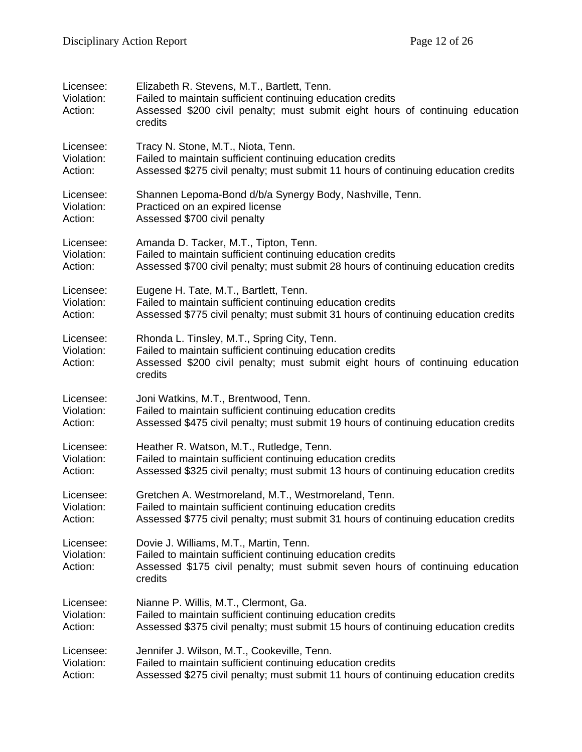| Licensee:<br>Violation:<br>Action: | Elizabeth R. Stevens, M.T., Bartlett, Tenn.<br>Failed to maintain sufficient continuing education credits<br>Assessed \$200 civil penalty; must submit eight hours of continuing education<br>credits |
|------------------------------------|-------------------------------------------------------------------------------------------------------------------------------------------------------------------------------------------------------|
| Licensee:                          | Tracy N. Stone, M.T., Niota, Tenn.                                                                                                                                                                    |
| Violation:                         | Failed to maintain sufficient continuing education credits                                                                                                                                            |
| Action:                            | Assessed \$275 civil penalty; must submit 11 hours of continuing education credits                                                                                                                    |
| Licensee:                          | Shannen Lepoma-Bond d/b/a Synergy Body, Nashville, Tenn.                                                                                                                                              |
| Violation:                         | Practiced on an expired license                                                                                                                                                                       |
| Action:                            | Assessed \$700 civil penalty                                                                                                                                                                          |
| Licensee:                          | Amanda D. Tacker, M.T., Tipton, Tenn.                                                                                                                                                                 |
| Violation:                         | Failed to maintain sufficient continuing education credits                                                                                                                                            |
| Action:                            | Assessed \$700 civil penalty; must submit 28 hours of continuing education credits                                                                                                                    |
| Licensee:                          | Eugene H. Tate, M.T., Bartlett, Tenn.                                                                                                                                                                 |
| Violation:                         | Failed to maintain sufficient continuing education credits                                                                                                                                            |
| Action:                            | Assessed \$775 civil penalty; must submit 31 hours of continuing education credits                                                                                                                    |
| Licensee:<br>Violation:<br>Action: | Rhonda L. Tinsley, M.T., Spring City, Tenn.<br>Failed to maintain sufficient continuing education credits<br>Assessed \$200 civil penalty; must submit eight hours of continuing education<br>credits |
| Licensee:                          | Joni Watkins, M.T., Brentwood, Tenn.                                                                                                                                                                  |
| Violation:                         | Failed to maintain sufficient continuing education credits                                                                                                                                            |
| Action:                            | Assessed \$475 civil penalty; must submit 19 hours of continuing education credits                                                                                                                    |
| Licensee:                          | Heather R. Watson, M.T., Rutledge, Tenn.                                                                                                                                                              |
| Violation:                         | Failed to maintain sufficient continuing education credits                                                                                                                                            |
| Action:                            | Assessed \$325 civil penalty; must submit 13 hours of continuing education credits                                                                                                                    |
| Licensee:                          | Gretchen A. Westmoreland, M.T., Westmoreland, Tenn.                                                                                                                                                   |
| Violation:                         | Failed to maintain sufficient continuing education credits                                                                                                                                            |
| Action:                            | Assessed \$775 civil penalty; must submit 31 hours of continuing education credits                                                                                                                    |
| Licensee:<br>Violation:<br>Action: | Dovie J. Williams, M.T., Martin, Tenn.<br>Failed to maintain sufficient continuing education credits<br>Assessed \$175 civil penalty; must submit seven hours of continuing education<br>credits      |
| Licensee:                          | Nianne P. Willis, M.T., Clermont, Ga.                                                                                                                                                                 |
| Violation:                         | Failed to maintain sufficient continuing education credits                                                                                                                                            |
| Action:                            | Assessed \$375 civil penalty; must submit 15 hours of continuing education credits                                                                                                                    |
| Licensee:                          | Jennifer J. Wilson, M.T., Cookeville, Tenn.                                                                                                                                                           |
| Violation:                         | Failed to maintain sufficient continuing education credits                                                                                                                                            |
| Action:                            | Assessed \$275 civil penalty; must submit 11 hours of continuing education credits                                                                                                                    |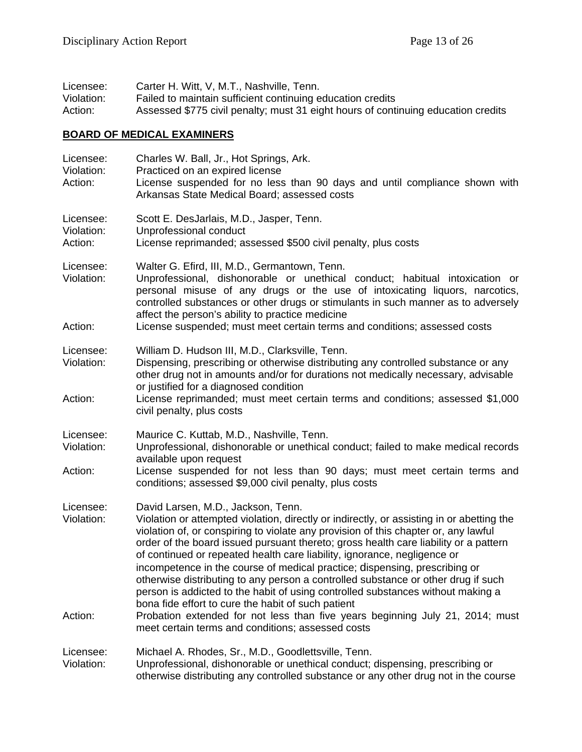| Licensee:  | Carter H. Witt, V, M.T., Nashville, Tenn.                                         |
|------------|-----------------------------------------------------------------------------------|
| Violation: | Failed to maintain sufficient continuing education credits                        |
| Action:    | Assessed \$775 civil penalty; must 31 eight hours of continuing education credits |

# **BOARD OF MEDICAL EXAMINERS**

| Licensee:<br>Violation:<br>Action: | Charles W. Ball, Jr., Hot Springs, Ark.<br>Practiced on an expired license<br>License suspended for no less than 90 days and until compliance shown with<br>Arkansas State Medical Board; assessed costs                                                                                                                                                                                                                                                                                                                                                                                                                                                                                               |
|------------------------------------|--------------------------------------------------------------------------------------------------------------------------------------------------------------------------------------------------------------------------------------------------------------------------------------------------------------------------------------------------------------------------------------------------------------------------------------------------------------------------------------------------------------------------------------------------------------------------------------------------------------------------------------------------------------------------------------------------------|
| Licensee:<br>Violation:<br>Action: | Scott E. DesJarlais, M.D., Jasper, Tenn.<br>Unprofessional conduct<br>License reprimanded; assessed \$500 civil penalty, plus costs                                                                                                                                                                                                                                                                                                                                                                                                                                                                                                                                                                    |
| Licensee:<br>Violation:<br>Action: | Walter G. Efird, III, M.D., Germantown, Tenn.<br>Unprofessional, dishonorable or unethical conduct; habitual intoxication or<br>personal misuse of any drugs or the use of intoxicating liquors, narcotics,<br>controlled substances or other drugs or stimulants in such manner as to adversely<br>affect the person's ability to practice medicine<br>License suspended; must meet certain terms and conditions; assessed costs                                                                                                                                                                                                                                                                      |
| Licensee:                          | William D. Hudson III, M.D., Clarksville, Tenn.                                                                                                                                                                                                                                                                                                                                                                                                                                                                                                                                                                                                                                                        |
| Violation:                         | Dispensing, prescribing or otherwise distributing any controlled substance or any<br>other drug not in amounts and/or for durations not medically necessary, advisable                                                                                                                                                                                                                                                                                                                                                                                                                                                                                                                                 |
| Action:                            | or justified for a diagnosed condition<br>License reprimanded; must meet certain terms and conditions; assessed \$1,000<br>civil penalty, plus costs                                                                                                                                                                                                                                                                                                                                                                                                                                                                                                                                                   |
| Licensee:<br>Violation:            | Maurice C. Kuttab, M.D., Nashville, Tenn.<br>Unprofessional, dishonorable or unethical conduct; failed to make medical records<br>available upon request                                                                                                                                                                                                                                                                                                                                                                                                                                                                                                                                               |
| Action:                            | License suspended for not less than 90 days; must meet certain terms and<br>conditions; assessed \$9,000 civil penalty, plus costs                                                                                                                                                                                                                                                                                                                                                                                                                                                                                                                                                                     |
| Licensee:<br>Violation:            | David Larsen, M.D., Jackson, Tenn.<br>Violation or attempted violation, directly or indirectly, or assisting in or abetting the<br>violation of, or conspiring to violate any provision of this chapter or, any lawful<br>order of the board issued pursuant thereto; gross health care liability or a pattern<br>of continued or repeated health care liability, ignorance, negligence or<br>incompetence in the course of medical practice; dispensing, prescribing or<br>otherwise distributing to any person a controlled substance or other drug if such<br>person is addicted to the habit of using controlled substances without making a<br>bona fide effort to cure the habit of such patient |
| Action:                            | Probation extended for not less than five years beginning July 21, 2014; must<br>meet certain terms and conditions; assessed costs                                                                                                                                                                                                                                                                                                                                                                                                                                                                                                                                                                     |
| Licensee:<br>Violation:            | Michael A. Rhodes, Sr., M.D., Goodlettsville, Tenn.<br>Unprofessional, dishonorable or unethical conduct; dispensing, prescribing or<br>otherwise distributing any controlled substance or any other drug not in the course                                                                                                                                                                                                                                                                                                                                                                                                                                                                            |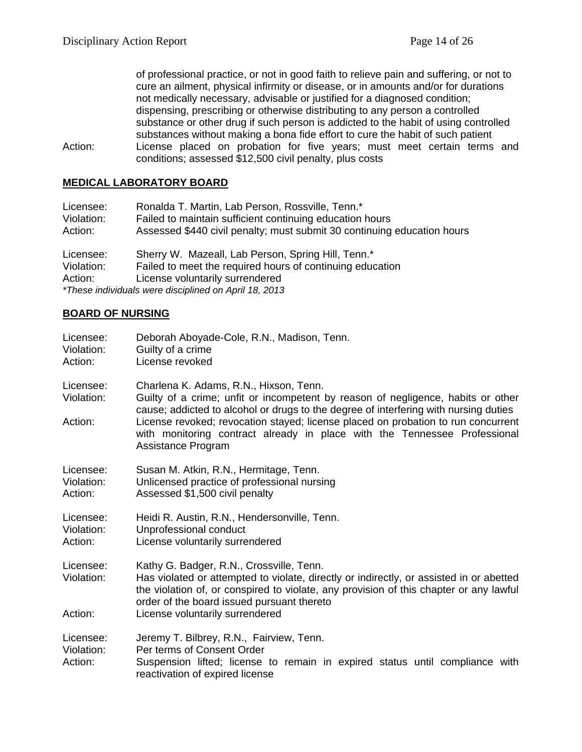of professional practice, or not in good faith to relieve pain and suffering, or not to cure an ailment, physical infirmity or disease, or in amounts and/or for durations not medically necessary, advisable or justified for a diagnosed condition; dispensing, prescribing or otherwise distributing to any person a controlled substance or other drug if such person is addicted to the habit of using controlled substances without making a bona fide effort to cure the habit of such patient Action: License placed on probation for five years; must meet certain terms and conditions; assessed \$12,500 civil penalty, plus costs

#### **MEDICAL LABORATORY BOARD**

| Licensee:                                             | Ronalda T. Martin, Lab Person, Rossville, Tenn.*                        |
|-------------------------------------------------------|-------------------------------------------------------------------------|
| Violation:                                            | Failed to maintain sufficient continuing education hours                |
| Action:                                               | Assessed \$440 civil penalty; must submit 30 continuing education hours |
| Licensee:                                             | Sherry W. Mazeall, Lab Person, Spring Hill, Tenn.*                      |
| Violation:                                            | Failed to meet the required hours of continuing education               |
| Action:                                               | License voluntarily surrendered                                         |
| *These individuals were disciplined on April 18, 2013 |                                                                         |

#### **BOARD OF NURSING**

| Licensee:<br>Violation:<br>Action: | Deborah Aboyade-Cole, R.N., Madison, Tenn.<br>Guilty of a crime<br>License revoked                                                                                                                                                                                                                                                                                                                         |
|------------------------------------|------------------------------------------------------------------------------------------------------------------------------------------------------------------------------------------------------------------------------------------------------------------------------------------------------------------------------------------------------------------------------------------------------------|
| Licensee:<br>Violation:<br>Action: | Charlena K. Adams, R.N., Hixson, Tenn.<br>Guilty of a crime; unfit or incompetent by reason of negligence, habits or other<br>cause; addicted to alcohol or drugs to the degree of interfering with nursing duties<br>License revoked; revocation stayed; license placed on probation to run concurrent<br>with monitoring contract already in place with the Tennessee Professional<br>Assistance Program |
| Licensee:<br>Violation:<br>Action: | Susan M. Atkin, R.N., Hermitage, Tenn.<br>Unlicensed practice of professional nursing<br>Assessed \$1,500 civil penalty                                                                                                                                                                                                                                                                                    |
| Licensee:<br>Violation:<br>Action: | Heidi R. Austin, R.N., Hendersonville, Tenn.<br>Unprofessional conduct<br>License voluntarily surrendered                                                                                                                                                                                                                                                                                                  |
| Licensee:<br>Violation:            | Kathy G. Badger, R.N., Crossville, Tenn.<br>Has violated or attempted to violate, directly or indirectly, or assisted in or abetted<br>the violation of, or conspired to violate, any provision of this chapter or any lawful<br>order of the board issued pursuant thereto                                                                                                                                |
| Action:                            | License voluntarily surrendered                                                                                                                                                                                                                                                                                                                                                                            |
| Licensee:<br>Violation:<br>Action: | Jeremy T. Bilbrey, R.N., Fairview, Tenn.<br>Per terms of Consent Order<br>Suspension lifted; license to remain in expired status until compliance with<br>reactivation of expired license                                                                                                                                                                                                                  |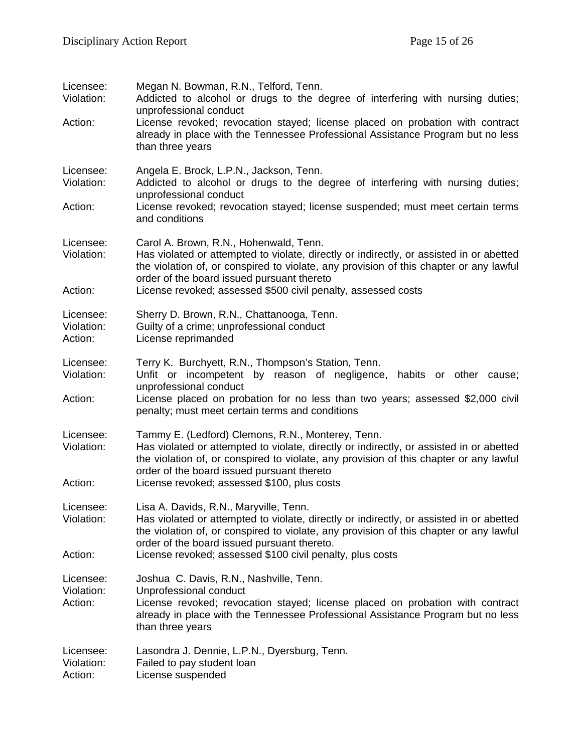| Licensee:<br>Violation:<br>Action: | Megan N. Bowman, R.N., Telford, Tenn.<br>Addicted to alcohol or drugs to the degree of interfering with nursing duties;<br>unprofessional conduct<br>License revoked; revocation stayed; license placed on probation with contract<br>already in place with the Tennessee Professional Assistance Program but no less<br>than three years  |
|------------------------------------|--------------------------------------------------------------------------------------------------------------------------------------------------------------------------------------------------------------------------------------------------------------------------------------------------------------------------------------------|
| Licensee:<br>Violation:<br>Action: | Angela E. Brock, L.P.N., Jackson, Tenn.<br>Addicted to alcohol or drugs to the degree of interfering with nursing duties;<br>unprofessional conduct<br>License revoked; revocation stayed; license suspended; must meet certain terms<br>and conditions                                                                                    |
| Licensee:<br>Violation:<br>Action: | Carol A. Brown, R.N., Hohenwald, Tenn.<br>Has violated or attempted to violate, directly or indirectly, or assisted in or abetted<br>the violation of, or conspired to violate, any provision of this chapter or any lawful<br>order of the board issued pursuant thereto<br>License revoked; assessed \$500 civil penalty, assessed costs |
| Licensee:<br>Violation:<br>Action: | Sherry D. Brown, R.N., Chattanooga, Tenn.<br>Guilty of a crime; unprofessional conduct<br>License reprimanded                                                                                                                                                                                                                              |
| Licensee:<br>Violation:<br>Action: | Terry K. Burchyett, R.N., Thompson's Station, Tenn.<br>Unfit or incompetent by reason of negligence, habits or other cause;<br>unprofessional conduct<br>License placed on probation for no less than two years; assessed \$2,000 civil<br>penalty; must meet certain terms and conditions                                                 |
| Licensee:<br>Violation:<br>Action: | Tammy E. (Ledford) Clemons, R.N., Monterey, Tenn.<br>Has violated or attempted to violate, directly or indirectly, or assisted in or abetted<br>the violation of, or conspired to violate, any provision of this chapter or any lawful<br>order of the board issued pursuant thereto<br>License revoked; assessed \$100, plus costs        |
| Licensee:<br>Violation:<br>Action: | Lisa A. Davids, R.N., Maryville, Tenn.<br>Has violated or attempted to violate, directly or indirectly, or assisted in or abetted<br>the violation of, or conspired to violate, any provision of this chapter or any lawful<br>order of the board issued pursuant thereto.<br>License revoked; assessed \$100 civil penalty, plus costs    |
| Licensee:<br>Violation:<br>Action: | Joshua C. Davis, R.N., Nashville, Tenn.<br>Unprofessional conduct<br>License revoked; revocation stayed; license placed on probation with contract<br>already in place with the Tennessee Professional Assistance Program but no less<br>than three years                                                                                  |
| Licensee:<br>Violation:<br>Action: | Lasondra J. Dennie, L.P.N., Dyersburg, Tenn.<br>Failed to pay student loan<br>License suspended                                                                                                                                                                                                                                            |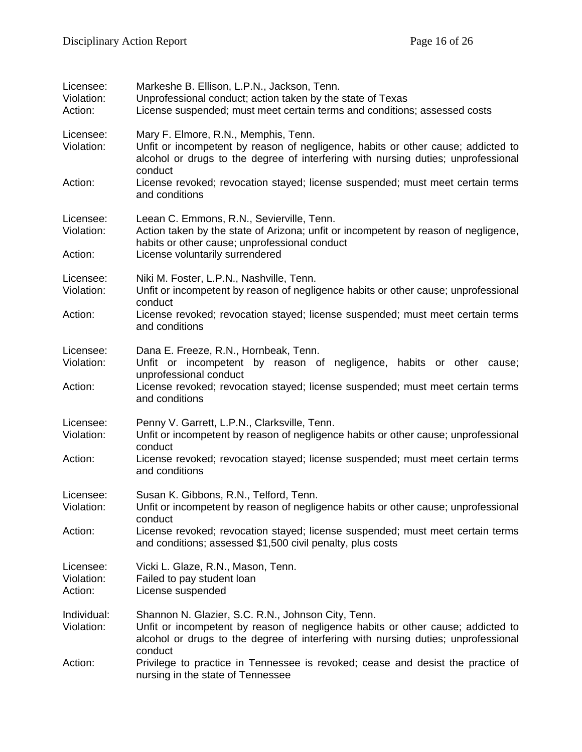| Licensee:<br>Violation:<br>Action: | Markeshe B. Ellison, L.P.N., Jackson, Tenn.<br>Unprofessional conduct; action taken by the state of Texas<br>License suspended; must meet certain terms and conditions; assessed costs                                                |
|------------------------------------|---------------------------------------------------------------------------------------------------------------------------------------------------------------------------------------------------------------------------------------|
| Licensee:<br>Violation:            | Mary F. Elmore, R.N., Memphis, Tenn.<br>Unfit or incompetent by reason of negligence, habits or other cause; addicted to<br>alcohol or drugs to the degree of interfering with nursing duties; unprofessional<br>conduct              |
| Action:                            | License revoked; revocation stayed; license suspended; must meet certain terms<br>and conditions                                                                                                                                      |
| Licensee:<br>Violation:<br>Action: | Leean C. Emmons, R.N., Sevierville, Tenn.<br>Action taken by the state of Arizona; unfit or incompetent by reason of negligence,<br>habits or other cause; unprofessional conduct<br>License voluntarily surrendered                  |
| Licensee:<br>Violation:            | Niki M. Foster, L.P.N., Nashville, Tenn.<br>Unfit or incompetent by reason of negligence habits or other cause; unprofessional<br>conduct                                                                                             |
| Action:                            | License revoked; revocation stayed; license suspended; must meet certain terms<br>and conditions                                                                                                                                      |
| Licensee:<br>Violation:            | Dana E. Freeze, R.N., Hornbeak, Tenn.<br>Unfit or incompetent by reason of negligence, habits or other cause;<br>unprofessional conduct                                                                                               |
| Action:                            | License revoked; revocation stayed; license suspended; must meet certain terms<br>and conditions                                                                                                                                      |
| Licensee:<br>Violation:            | Penny V. Garrett, L.P.N., Clarksville, Tenn.<br>Unfit or incompetent by reason of negligence habits or other cause; unprofessional<br>conduct                                                                                         |
| Action:                            | License revoked; revocation stayed; license suspended; must meet certain terms<br>and conditions                                                                                                                                      |
| Licensee:<br>Violation:            | Susan K. Gibbons, R.N., Telford, Tenn.<br>Unfit or incompetent by reason of negligence habits or other cause; unprofessional<br>conduct                                                                                               |
| Action:                            | License revoked; revocation stayed; license suspended; must meet certain terms<br>and conditions; assessed \$1,500 civil penalty, plus costs                                                                                          |
| Licensee:<br>Violation:<br>Action: | Vicki L. Glaze, R.N., Mason, Tenn.<br>Failed to pay student loan<br>License suspended                                                                                                                                                 |
| Individual:<br>Violation:          | Shannon N. Glazier, S.C. R.N., Johnson City, Tenn.<br>Unfit or incompetent by reason of negligence habits or other cause; addicted to<br>alcohol or drugs to the degree of interfering with nursing duties; unprofessional<br>conduct |
| Action:                            | Privilege to practice in Tennessee is revoked; cease and desist the practice of<br>nursing in the state of Tennessee                                                                                                                  |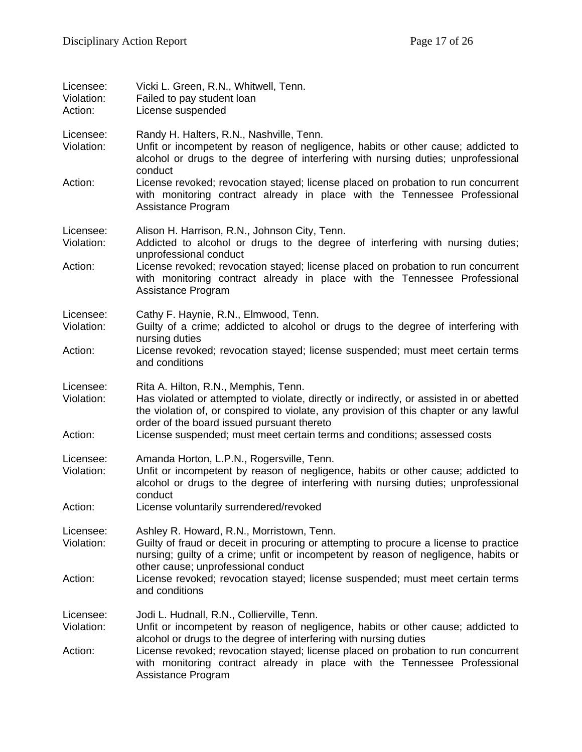| Licensee:<br>Violation:<br>Action: | Vicki L. Green, R.N., Whitwell, Tenn.<br>Failed to pay student loan<br>License suspended                                                                                                                                                                                |
|------------------------------------|-------------------------------------------------------------------------------------------------------------------------------------------------------------------------------------------------------------------------------------------------------------------------|
| Licensee:<br>Violation:            | Randy H. Halters, R.N., Nashville, Tenn.<br>Unfit or incompetent by reason of negligence, habits or other cause; addicted to<br>alcohol or drugs to the degree of interfering with nursing duties; unprofessional<br>conduct                                            |
| Action:                            | License revoked; revocation stayed; license placed on probation to run concurrent<br>with monitoring contract already in place with the Tennessee Professional<br>Assistance Program                                                                                    |
| Licensee:<br>Violation:            | Alison H. Harrison, R.N., Johnson City, Tenn.<br>Addicted to alcohol or drugs to the degree of interfering with nursing duties;<br>unprofessional conduct                                                                                                               |
| Action:                            | License revoked; revocation stayed; license placed on probation to run concurrent<br>with monitoring contract already in place with the Tennessee Professional<br>Assistance Program                                                                                    |
| Licensee:<br>Violation:            | Cathy F. Haynie, R.N., Elmwood, Tenn.<br>Guilty of a crime; addicted to alcohol or drugs to the degree of interfering with<br>nursing duties                                                                                                                            |
| Action:                            | License revoked; revocation stayed; license suspended; must meet certain terms<br>and conditions                                                                                                                                                                        |
| Licensee:<br>Violation:            | Rita A. Hilton, R.N., Memphis, Tenn.<br>Has violated or attempted to violate, directly or indirectly, or assisted in or abetted<br>the violation of, or conspired to violate, any provision of this chapter or any lawful<br>order of the board issued pursuant thereto |
| Action:                            | License suspended; must meet certain terms and conditions; assessed costs                                                                                                                                                                                               |
| Licensee:<br>Violation:            | Amanda Horton, L.P.N., Rogersville, Tenn.<br>Unfit or incompetent by reason of negligence, habits or other cause; addicted to<br>alcohol or drugs to the degree of interfering with nursing duties; unprofessional<br>conduct                                           |
| Action:                            | License voluntarily surrendered/revoked                                                                                                                                                                                                                                 |
| Licensee:<br>Violation:            | Ashley R. Howard, R.N., Morristown, Tenn.<br>Guilty of fraud or deceit in procuring or attempting to procure a license to practice<br>nursing; guilty of a crime; unfit or incompetent by reason of negligence, habits or<br>other cause; unprofessional conduct        |
| Action:                            | License revoked; revocation stayed; license suspended; must meet certain terms<br>and conditions                                                                                                                                                                        |
| Licensee:<br>Violation:            | Jodi L. Hudnall, R.N., Collierville, Tenn.<br>Unfit or incompetent by reason of negligence, habits or other cause; addicted to<br>alcohol or drugs to the degree of interfering with nursing duties                                                                     |
| Action:                            | License revoked; revocation stayed; license placed on probation to run concurrent<br>with monitoring contract already in place with the Tennessee Professional<br>Assistance Program                                                                                    |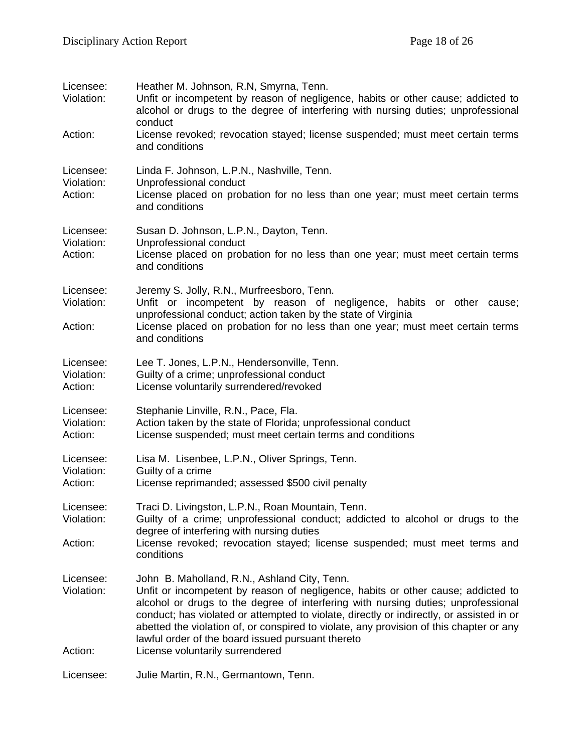| Licensee:<br>Violation:            | Heather M. Johnson, R.N, Smyrna, Tenn.<br>Unfit or incompetent by reason of negligence, habits or other cause; addicted to<br>alcohol or drugs to the degree of interfering with nursing duties; unprofessional<br>conduct                                                                                                                                                                                                                                                                           |
|------------------------------------|------------------------------------------------------------------------------------------------------------------------------------------------------------------------------------------------------------------------------------------------------------------------------------------------------------------------------------------------------------------------------------------------------------------------------------------------------------------------------------------------------|
| Action:                            | License revoked; revocation stayed; license suspended; must meet certain terms<br>and conditions                                                                                                                                                                                                                                                                                                                                                                                                     |
| Licensee:<br>Violation:<br>Action: | Linda F. Johnson, L.P.N., Nashville, Tenn.<br>Unprofessional conduct<br>License placed on probation for no less than one year; must meet certain terms<br>and conditions                                                                                                                                                                                                                                                                                                                             |
| Licensee:<br>Violation:<br>Action: | Susan D. Johnson, L.P.N., Dayton, Tenn.<br>Unprofessional conduct<br>License placed on probation for no less than one year; must meet certain terms<br>and conditions                                                                                                                                                                                                                                                                                                                                |
| Licensee:<br>Violation:<br>Action: | Jeremy S. Jolly, R.N., Murfreesboro, Tenn.<br>Unfit or incompetent by reason of negligence, habits or other cause;<br>unprofessional conduct; action taken by the state of Virginia<br>License placed on probation for no less than one year; must meet certain terms<br>and conditions                                                                                                                                                                                                              |
| Licensee:<br>Violation:<br>Action: | Lee T. Jones, L.P.N., Hendersonville, Tenn.<br>Guilty of a crime; unprofessional conduct<br>License voluntarily surrendered/revoked                                                                                                                                                                                                                                                                                                                                                                  |
| Licensee:<br>Violation:<br>Action: | Stephanie Linville, R.N., Pace, Fla.<br>Action taken by the state of Florida; unprofessional conduct<br>License suspended; must meet certain terms and conditions                                                                                                                                                                                                                                                                                                                                    |
| Licensee:<br>Violation:<br>Action: | Lisa M. Lisenbee, L.P.N., Oliver Springs, Tenn.<br>Guilty of a crime<br>License reprimanded; assessed \$500 civil penalty                                                                                                                                                                                                                                                                                                                                                                            |
| Licensee:<br>Violation:            | Traci D. Livingston, L.P.N., Roan Mountain, Tenn.<br>Guilty of a crime; unprofessional conduct; addicted to alcohol or drugs to the<br>degree of interfering with nursing duties                                                                                                                                                                                                                                                                                                                     |
| Action:                            | License revoked; revocation stayed; license suspended; must meet terms and<br>conditions                                                                                                                                                                                                                                                                                                                                                                                                             |
| Licensee:<br>Violation:<br>Action: | John B. Maholland, R.N., Ashland City, Tenn.<br>Unfit or incompetent by reason of negligence, habits or other cause; addicted to<br>alcohol or drugs to the degree of interfering with nursing duties; unprofessional<br>conduct; has violated or attempted to violate, directly or indirectly, or assisted in or<br>abetted the violation of, or conspired to violate, any provision of this chapter or any<br>lawful order of the board issued pursuant thereto<br>License voluntarily surrendered |
| Licensee:                          | Julie Martin, R.N., Germantown, Tenn.                                                                                                                                                                                                                                                                                                                                                                                                                                                                |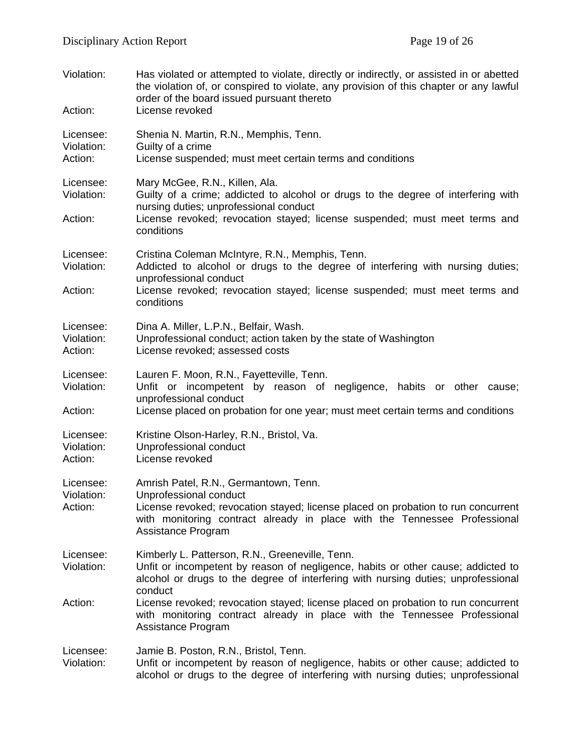| Violation:<br>Action:              | Has violated or attempted to violate, directly or indirectly, or assisted in or abetted<br>the violation of, or conspired to violate, any provision of this chapter or any lawful<br>order of the board issued pursuant thereto<br>License revoked        |
|------------------------------------|-----------------------------------------------------------------------------------------------------------------------------------------------------------------------------------------------------------------------------------------------------------|
| Licensee:<br>Violation:<br>Action: | Shenia N. Martin, R.N., Memphis, Tenn.<br>Guilty of a crime<br>License suspended; must meet certain terms and conditions                                                                                                                                  |
| Licensee:<br>Violation:<br>Action: | Mary McGee, R.N., Killen, Ala.<br>Guilty of a crime; addicted to alcohol or drugs to the degree of interfering with<br>nursing duties; unprofessional conduct<br>License revoked; revocation stayed; license suspended; must meet terms and<br>conditions |
| Licensee:<br>Violation:<br>Action: | Cristina Coleman McIntyre, R.N., Memphis, Tenn.<br>Addicted to alcohol or drugs to the degree of interfering with nursing duties;<br>unprofessional conduct<br>License revoked; revocation stayed; license suspended; must meet terms and<br>conditions   |
| Licensee:<br>Violation:<br>Action: | Dina A. Miller, L.P.N., Belfair, Wash.<br>Unprofessional conduct; action taken by the state of Washington<br>License revoked; assessed costs                                                                                                              |
| Licensee:<br>Violation:<br>Action: | Lauren F. Moon, R.N., Fayetteville, Tenn.<br>Unfit or incompetent by reason of negligence, habits or other cause;<br>unprofessional conduct<br>License placed on probation for one year; must meet certain terms and conditions                           |
| Licensee:<br>Violation:<br>Action: | Kristine Olson-Harley, R.N., Bristol, Va.<br>Unprofessional conduct<br>License revoked                                                                                                                                                                    |
| Licensee:<br>Violation:<br>Action: | Amrish Patel, R.N., Germantown, Tenn.<br>Unprofessional conduct<br>License revoked; revocation stayed; license placed on probation to run concurrent<br>with monitoring contract already in place with the Tennessee Professional<br>Assistance Program   |
| Licensee:<br>Violation:            | Kimberly L. Patterson, R.N., Greeneville, Tenn.<br>Unfit or incompetent by reason of negligence, habits or other cause; addicted to<br>alcohol or drugs to the degree of interfering with nursing duties; unprofessional<br>conduct                       |
| Action:                            | License revoked; revocation stayed; license placed on probation to run concurrent<br>with monitoring contract already in place with the Tennessee Professional<br>Assistance Program                                                                      |
| Licensee:<br>Violation:            | Jamie B. Poston, R.N., Bristol, Tenn.<br>Unfit or incompetent by reason of negligence, habits or other cause; addicted to<br>alcohol or drugs to the degree of interfering with nursing duties; unprofessional                                            |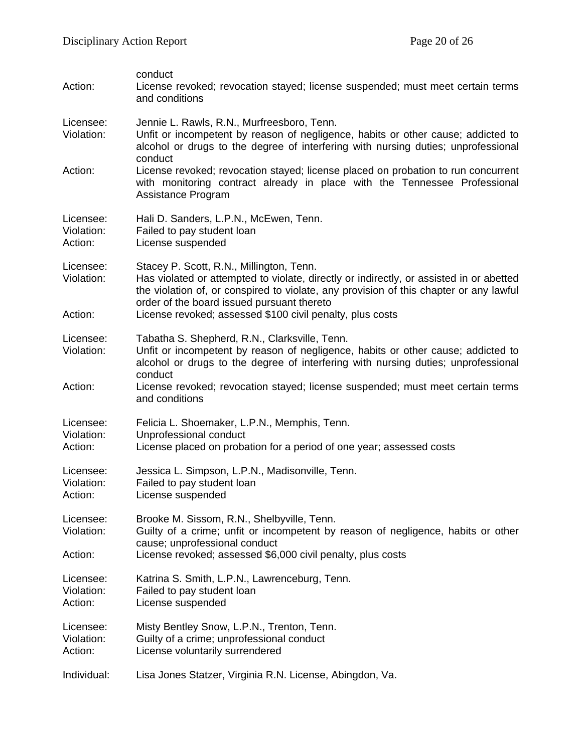| Action:                            | conduct<br>License revoked; revocation stayed; license suspended; must meet certain terms<br>and conditions                                                                                                                                                                                                                              |
|------------------------------------|------------------------------------------------------------------------------------------------------------------------------------------------------------------------------------------------------------------------------------------------------------------------------------------------------------------------------------------|
| Licensee:<br>Violation:<br>Action: | Jennie L. Rawls, R.N., Murfreesboro, Tenn.<br>Unfit or incompetent by reason of negligence, habits or other cause; addicted to<br>alcohol or drugs to the degree of interfering with nursing duties; unprofessional<br>conduct<br>License revoked; revocation stayed; license placed on probation to run concurrent                      |
|                                    | with monitoring contract already in place with the Tennessee Professional<br>Assistance Program                                                                                                                                                                                                                                          |
| Licensee:<br>Violation:<br>Action: | Hali D. Sanders, L.P.N., McEwen, Tenn.<br>Failed to pay student loan<br>License suspended                                                                                                                                                                                                                                                |
| Licensee:<br>Violation:<br>Action: | Stacey P. Scott, R.N., Millington, Tenn.<br>Has violated or attempted to violate, directly or indirectly, or assisted in or abetted<br>the violation of, or conspired to violate, any provision of this chapter or any lawful<br>order of the board issued pursuant thereto<br>License revoked; assessed \$100 civil penalty, plus costs |
| Licensee:<br>Violation:<br>Action: | Tabatha S. Shepherd, R.N., Clarksville, Tenn.<br>Unfit or incompetent by reason of negligence, habits or other cause; addicted to<br>alcohol or drugs to the degree of interfering with nursing duties; unprofessional<br>conduct<br>License revoked; revocation stayed; license suspended; must meet certain terms                      |
|                                    | and conditions                                                                                                                                                                                                                                                                                                                           |
| Licensee:<br>Violation:<br>Action: | Felicia L. Shoemaker, L.P.N., Memphis, Tenn.<br>Unprofessional conduct<br>License placed on probation for a period of one year; assessed costs                                                                                                                                                                                           |
| Licensee:<br>Violation:<br>Action: | Jessica L. Simpson, L.P.N., Madisonville, Tenn.<br>Failed to pay student loan<br>License suspended                                                                                                                                                                                                                                       |
| Licensee:<br>Violation:<br>Action: | Brooke M. Sissom, R.N., Shelbyville, Tenn.<br>Guilty of a crime; unfit or incompetent by reason of negligence, habits or other<br>cause; unprofessional conduct<br>License revoked; assessed \$6,000 civil penalty, plus costs                                                                                                           |
| Licensee:<br>Violation:<br>Action: | Katrina S. Smith, L.P.N., Lawrenceburg, Tenn.<br>Failed to pay student loan<br>License suspended                                                                                                                                                                                                                                         |
| Licensee:<br>Violation:<br>Action: | Misty Bentley Snow, L.P.N., Trenton, Tenn.<br>Guilty of a crime; unprofessional conduct<br>License voluntarily surrendered                                                                                                                                                                                                               |
| Individual:                        | Lisa Jones Statzer, Virginia R.N. License, Abingdon, Va.                                                                                                                                                                                                                                                                                 |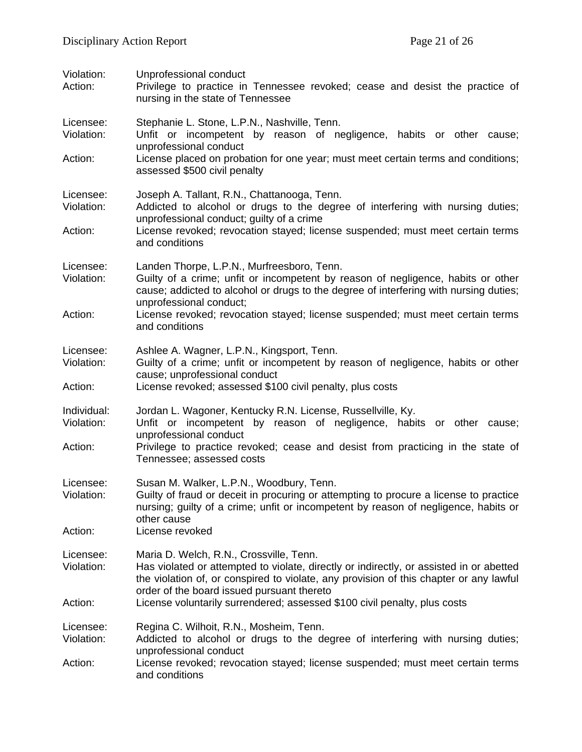| Violation:<br>Action:              | Unprofessional conduct<br>Privilege to practice in Tennessee revoked; cease and desist the practice of<br>nursing in the state of Tennessee                                                                                                                                |
|------------------------------------|----------------------------------------------------------------------------------------------------------------------------------------------------------------------------------------------------------------------------------------------------------------------------|
| Licensee:<br>Violation:            | Stephanie L. Stone, L.P.N., Nashville, Tenn.<br>Unfit or incompetent by reason of negligence, habits or other cause;                                                                                                                                                       |
| Action:                            | unprofessional conduct<br>License placed on probation for one year; must meet certain terms and conditions;<br>assessed \$500 civil penalty                                                                                                                                |
| Licensee:<br>Violation:            | Joseph A. Tallant, R.N., Chattanooga, Tenn.<br>Addicted to alcohol or drugs to the degree of interfering with nursing duties;<br>unprofessional conduct; guilty of a crime                                                                                                 |
| Action:                            | License revoked; revocation stayed; license suspended; must meet certain terms<br>and conditions                                                                                                                                                                           |
| Licensee:<br>Violation:            | Landen Thorpe, L.P.N., Murfreesboro, Tenn.<br>Guilty of a crime; unfit or incompetent by reason of negligence, habits or other<br>cause; addicted to alcohol or drugs to the degree of interfering with nursing duties;<br>unprofessional conduct;                         |
| Action:                            | License revoked; revocation stayed; license suspended; must meet certain terms<br>and conditions                                                                                                                                                                           |
| Licensee:<br>Violation:<br>Action: | Ashlee A. Wagner, L.P.N., Kingsport, Tenn.<br>Guilty of a crime; unfit or incompetent by reason of negligence, habits or other<br>cause; unprofessional conduct<br>License revoked; assessed \$100 civil penalty, plus costs                                               |
|                                    |                                                                                                                                                                                                                                                                            |
| Individual:<br>Violation:          | Jordan L. Wagoner, Kentucky R.N. License, Russellville, Ky.<br>Unfit or incompetent by reason of negligence, habits or other cause;<br>unprofessional conduct                                                                                                              |
| Action:                            | Privilege to practice revoked; cease and desist from practicing in the state of<br>Tennessee; assessed costs                                                                                                                                                               |
| Licensee:<br>Violation:            | Susan M. Walker, L.P.N., Woodbury, Tenn.<br>Guilty of fraud or deceit in procuring or attempting to procure a license to practice<br>nursing; guilty of a crime; unfit or incompetent by reason of negligence, habits or<br>other cause                                    |
| Action:                            | License revoked                                                                                                                                                                                                                                                            |
| Licensee:<br>Violation:            | Maria D. Welch, R.N., Crossville, Tenn.<br>Has violated or attempted to violate, directly or indirectly, or assisted in or abetted<br>the violation of, or conspired to violate, any provision of this chapter or any lawful<br>order of the board issued pursuant thereto |
| Action:                            | License voluntarily surrendered; assessed \$100 civil penalty, plus costs                                                                                                                                                                                                  |
| Licensee:<br>Violation:            | Regina C. Wilhoit, R.N., Mosheim, Tenn.<br>Addicted to alcohol or drugs to the degree of interfering with nursing duties;<br>unprofessional conduct                                                                                                                        |
| Action:                            | License revoked; revocation stayed; license suspended; must meet certain terms<br>and conditions                                                                                                                                                                           |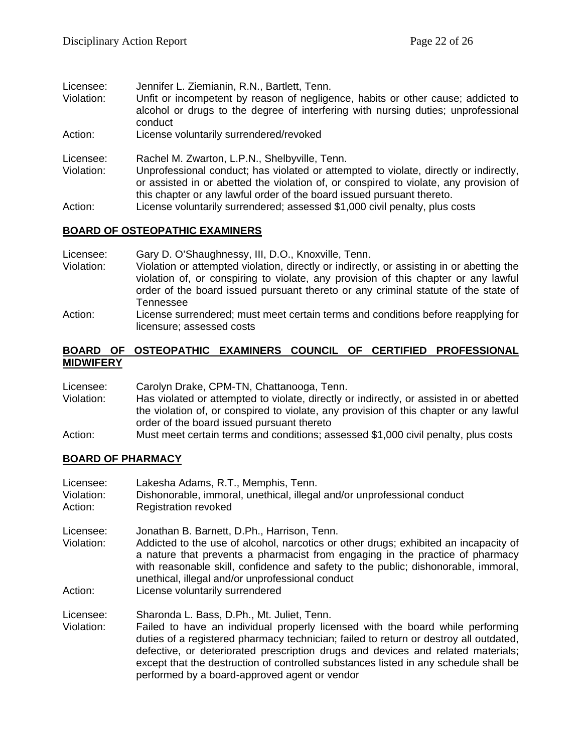- Licensee: Jennifer L. Ziemianin, R.N., Bartlett, Tenn.
- Violation: Unfit or incompetent by reason of negligence, habits or other cause; addicted to alcohol or drugs to the degree of interfering with nursing duties; unprofessional conduct
- Action: License voluntarily surrendered/revoked
- Licensee: Rachel M. Zwarton, L.P.N., Shelbyville, Tenn.
- Violation: Unprofessional conduct; has violated or attempted to violate, directly or indirectly, or assisted in or abetted the violation of, or conspired to violate, any provision of this chapter or any lawful order of the board issued pursuant thereto.
- Action: License voluntarily surrendered; assessed \$1,000 civil penalty, plus costs

## **BOARD OF OSTEOPATHIC EXAMINERS**

- Licensee: Gary D. O'Shaughnessy, III, D.O., Knoxville, Tenn.<br>Violation: Violation or attempted violation. directly or indirectly
- Violation or attempted violation, directly or indirectly, or assisting in or abetting the violation of, or conspiring to violate, any provision of this chapter or any lawful order of the board issued pursuant thereto or any criminal statute of the state of Tennessee
- Action: License surrendered; must meet certain terms and conditions before reapplying for licensure; assessed costs

#### **BOARD OF OSTEOPATHIC EXAMINERS COUNCIL OF CERTIFIED PROFESSIONAL MIDWIFERY**

Licensee: Carolyn Drake, CPM-TN, Chattanooga, Tenn.

- Violation: Has violated or attempted to violate, directly or indirectly, or assisted in or abetted the violation of, or conspired to violate, any provision of this chapter or any lawful order of the board issued pursuant thereto
- Action: Must meet certain terms and conditions; assessed \$1,000 civil penalty, plus costs

## **BOARD OF PHARMACY**

Licensee: Lakesha Adams, R.T., Memphis, Tenn. Violation: Dishonorable, immoral, unethical, illegal and/or unprofessional conduct Action: Registration revoked Licensee: Jonathan B. Barnett, D.Ph., Harrison, Tenn.<br>Violation: Addicted to the use of alcohol. narcotics or Addicted to the use of alcohol, narcotics or other drugs; exhibited an incapacity of a nature that prevents a pharmacist from engaging in the practice of pharmacy with reasonable skill, confidence and safety to the public; dishonorable, immoral, unethical, illegal and/or unprofessional conduct Action: License voluntarily surrendered Licensee: Sharonda L. Bass, D.Ph., Mt. Juliet, Tenn. Failed to have an individual properly licensed with the board while performing duties of a registered pharmacy technician; failed to return or destroy all outdated, defective, or deteriorated prescription drugs and devices and related materials; except that the destruction of controlled substances listed in any schedule shall be performed by a board-approved agent or vendor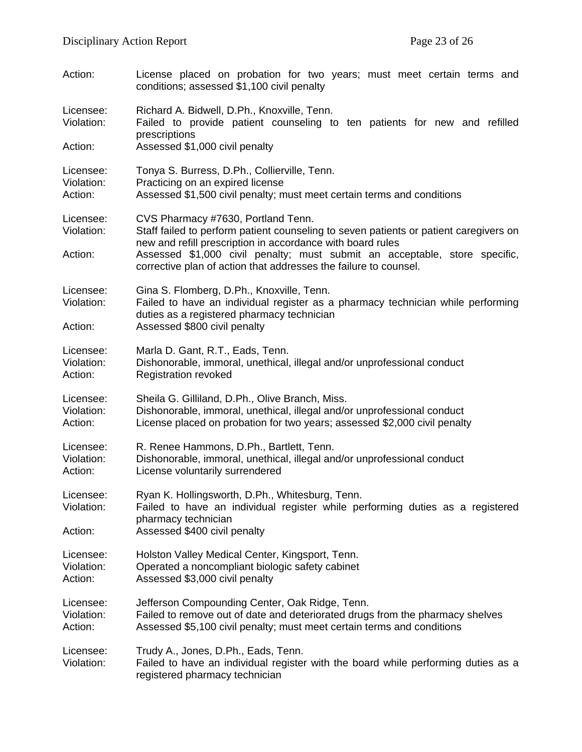| Action:                            | License placed on probation for two years; must meet certain terms and<br>conditions; assessed \$1,100 civil penalty                                                                                                                                                                                                                        |
|------------------------------------|---------------------------------------------------------------------------------------------------------------------------------------------------------------------------------------------------------------------------------------------------------------------------------------------------------------------------------------------|
| Licensee:<br>Violation:<br>Action: | Richard A. Bidwell, D.Ph., Knoxville, Tenn.<br>Failed to provide patient counseling to ten patients for new and refilled<br>prescriptions<br>Assessed \$1,000 civil penalty                                                                                                                                                                 |
| Licensee:                          | Tonya S. Burress, D.Ph., Collierville, Tenn.                                                                                                                                                                                                                                                                                                |
| Violation:                         | Practicing on an expired license                                                                                                                                                                                                                                                                                                            |
| Action:                            | Assessed \$1,500 civil penalty; must meet certain terms and conditions                                                                                                                                                                                                                                                                      |
| Licensee:<br>Violation:<br>Action: | CVS Pharmacy #7630, Portland Tenn.<br>Staff failed to perform patient counseling to seven patients or patient caregivers on<br>new and refill prescription in accordance with board rules<br>Assessed \$1,000 civil penalty; must submit an acceptable, store specific,<br>corrective plan of action that addresses the failure to counsel. |
| Licensee:<br>Violation:<br>Action: | Gina S. Flomberg, D.Ph., Knoxville, Tenn.<br>Failed to have an individual register as a pharmacy technician while performing<br>duties as a registered pharmacy technician<br>Assessed \$800 civil penalty                                                                                                                                  |
| Licensee:                          | Marla D. Gant, R.T., Eads, Tenn.                                                                                                                                                                                                                                                                                                            |
| Violation:                         | Dishonorable, immoral, unethical, illegal and/or unprofessional conduct                                                                                                                                                                                                                                                                     |
| Action:                            | <b>Registration revoked</b>                                                                                                                                                                                                                                                                                                                 |
| Licensee:                          | Sheila G. Gilliland, D.Ph., Olive Branch, Miss.                                                                                                                                                                                                                                                                                             |
| Violation:                         | Dishonorable, immoral, unethical, illegal and/or unprofessional conduct                                                                                                                                                                                                                                                                     |
| Action:                            | License placed on probation for two years; assessed \$2,000 civil penalty                                                                                                                                                                                                                                                                   |
| Licensee:                          | R. Renee Hammons, D.Ph., Bartlett, Tenn.                                                                                                                                                                                                                                                                                                    |
| Violation:                         | Dishonorable, immoral, unethical, illegal and/or unprofessional conduct                                                                                                                                                                                                                                                                     |
| Action:                            | License voluntarily surrendered                                                                                                                                                                                                                                                                                                             |
| Licensee:<br>Violation:<br>Action: | Ryan K. Hollingsworth, D.Ph., Whitesburg, Tenn.<br>Failed to have an individual register while performing duties as a registered<br>pharmacy technician<br>Assessed \$400 civil penalty                                                                                                                                                     |
| Licensee:                          | Holston Valley Medical Center, Kingsport, Tenn.                                                                                                                                                                                                                                                                                             |
| Violation:                         | Operated a noncompliant biologic safety cabinet                                                                                                                                                                                                                                                                                             |
| Action:                            | Assessed \$3,000 civil penalty                                                                                                                                                                                                                                                                                                              |
| Licensee:                          | Jefferson Compounding Center, Oak Ridge, Tenn.                                                                                                                                                                                                                                                                                              |
| Violation:                         | Failed to remove out of date and deteriorated drugs from the pharmacy shelves                                                                                                                                                                                                                                                               |
| Action:                            | Assessed \$5,100 civil penalty; must meet certain terms and conditions                                                                                                                                                                                                                                                                      |
| Licensee:<br>Violation:            | Trudy A., Jones, D.Ph., Eads, Tenn.<br>Failed to have an individual register with the board while performing duties as a<br>registered pharmacy technician                                                                                                                                                                                  |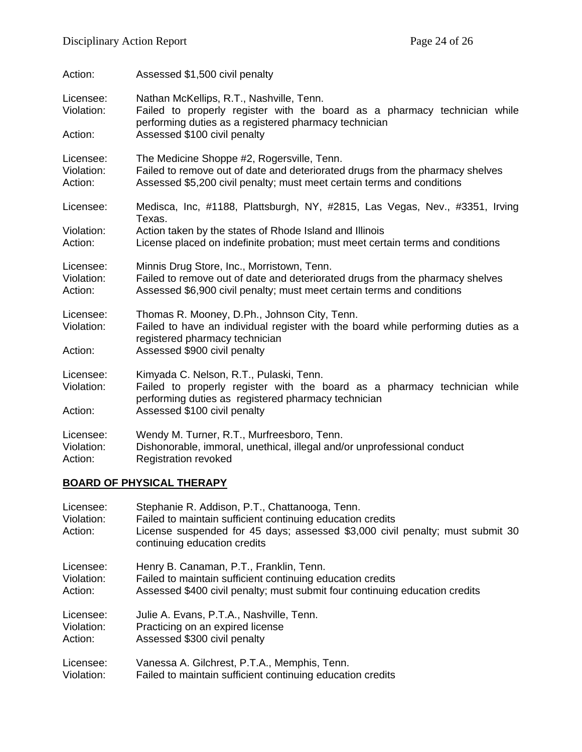| Action:                            | Assessed \$1,500 civil penalty                                                                                                                                                                        |
|------------------------------------|-------------------------------------------------------------------------------------------------------------------------------------------------------------------------------------------------------|
| Licensee:<br>Violation:            | Nathan McKellips, R.T., Nashville, Tenn.<br>Failed to properly register with the board as a pharmacy technician while<br>performing duties as a registered pharmacy technician                        |
| Action:                            | Assessed \$100 civil penalty                                                                                                                                                                          |
| Licensee:<br>Violation:<br>Action: | The Medicine Shoppe #2, Rogersville, Tenn.<br>Failed to remove out of date and deteriorated drugs from the pharmacy shelves<br>Assessed \$5,200 civil penalty; must meet certain terms and conditions |
| Licensee:                          | Medisca, Inc, #1188, Plattsburgh, NY, #2815, Las Vegas, Nev., #3351, Irving<br>Texas.                                                                                                                 |
| Violation:<br>Action:              | Action taken by the states of Rhode Island and Illinois<br>License placed on indefinite probation; must meet certain terms and conditions                                                             |
| Licensee:<br>Violation:<br>Action: | Minnis Drug Store, Inc., Morristown, Tenn.<br>Failed to remove out of date and deteriorated drugs from the pharmacy shelves<br>Assessed \$6,900 civil penalty; must meet certain terms and conditions |
| Licensee:<br>Violation:            | Thomas R. Mooney, D.Ph., Johnson City, Tenn.<br>Failed to have an individual register with the board while performing duties as a<br>registered pharmacy technician                                   |
| Action:                            | Assessed \$900 civil penalty                                                                                                                                                                          |
| Licensee:<br>Violation:            | Kimyada C. Nelson, R.T., Pulaski, Tenn.<br>Failed to properly register with the board as a pharmacy technician while<br>performing duties as registered pharmacy technician                           |
| Action:                            | Assessed \$100 civil penalty                                                                                                                                                                          |
| Licensee:<br>Violation:<br>Action: | Wendy M. Turner, R.T., Murfreesboro, Tenn.<br>Dishonorable, immoral, unethical, illegal and/or unprofessional conduct<br><b>Registration revoked</b>                                                  |

# **BOARD OF PHYSICAL THERAPY**

| Licensee:<br>Violation:<br>Action: | Stephanie R. Addison, P.T., Chattanooga, Tenn.<br>Failed to maintain sufficient continuing education credits<br>License suspended for 45 days; assessed \$3,000 civil penalty; must submit 30<br>continuing education credits |
|------------------------------------|-------------------------------------------------------------------------------------------------------------------------------------------------------------------------------------------------------------------------------|
| Licensee:                          | Henry B. Canaman, P.T., Franklin, Tenn.                                                                                                                                                                                       |
| Violation:                         | Failed to maintain sufficient continuing education credits                                                                                                                                                                    |
| Action:                            | Assessed \$400 civil penalty; must submit four continuing education credits                                                                                                                                                   |
| Licensee:                          | Julie A. Evans, P.T.A., Nashville, Tenn.                                                                                                                                                                                      |
| Violation:                         | Practicing on an expired license                                                                                                                                                                                              |
| Action:                            | Assessed \$300 civil penalty                                                                                                                                                                                                  |
| Licensee:                          | Vanessa A. Gilchrest, P.T.A., Memphis, Tenn.                                                                                                                                                                                  |
| Violation:                         | Failed to maintain sufficient continuing education credits                                                                                                                                                                    |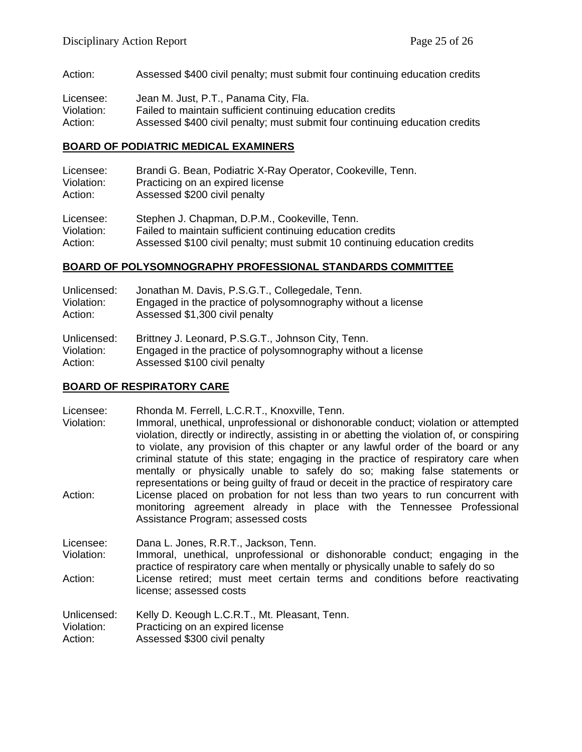Action: Assessed \$400 civil penalty; must submit four continuing education credits

| Licensee:  | Jean M. Just, P.T., Panama City, Fla.                                       |
|------------|-----------------------------------------------------------------------------|
| Violation: | Failed to maintain sufficient continuing education credits                  |
| Action:    | Assessed \$400 civil penalty; must submit four continuing education credits |

#### **BOARD OF PODIATRIC MEDICAL EXAMINERS**

| Licensee:  | Brandi G. Bean, Podiatric X-Ray Operator, Cookeville, Tenn.               |
|------------|---------------------------------------------------------------------------|
| Violation: | Practicing on an expired license                                          |
| Action:    | Assessed \$200 civil penalty                                              |
| Licensee:  | Stephen J. Chapman, D.P.M., Cookeville, Tenn.                             |
| Violation: | Failed to maintain sufficient continuing education credits                |
| Action:    | Assessed \$100 civil penalty; must submit 10 continuing education credits |

#### **BOARD OF POLYSOMNOGRAPHY PROFESSIONAL STANDARDS COMMITTEE**

| Unlicensed: | Jonathan M. Davis, P.S.G.T., Collegedale, Tenn.              |
|-------------|--------------------------------------------------------------|
| Violation:  | Engaged in the practice of polysomnography without a license |
| Action:     | Assessed \$1,300 civil penalty                               |
| Unlicensed: | Brittney J. Leonard, P.S.G.T., Johnson City, Tenn.           |
| Violation:  | Engaged in the practice of polysomnography without a license |
| Action:     | Assessed \$100 civil penalty                                 |

#### **BOARD OF RESPIRATORY CARE**

Licensee: Rhonda M. Ferrell, L.C.R.T., Knoxville, Tenn.

Violation: Immoral, unethical, unprofessional or dishonorable conduct; violation or attempted violation, directly or indirectly, assisting in or abetting the violation of, or conspiring to violate, any provision of this chapter or any lawful order of the board or any criminal statute of this state; engaging in the practice of respiratory care when mentally or physically unable to safely do so; making false statements or representations or being guilty of fraud or deceit in the practice of respiratory care Action: License placed on probation for not less than two years to run concurrent with monitoring agreement already in place with the Tennessee Professional Assistance Program; assessed costs

Licensee: Dana L. Jones, R.R.T., Jackson, Tenn. Violation: Immoral, unethical, unprofessional or dishonorable conduct; engaging in the practice of respiratory care when mentally or physically unable to safely do so Action: License retired; must meet certain terms and conditions before reactivating license; assessed costs

Unlicensed: Kelly D. Keough L.C.R.T., Mt. Pleasant, Tenn.<br>Violation: Practicing on an expired license Violation: Practicing on an expired license<br>Action: Assessed \$300 civil penalty Assessed \$300 civil penalty